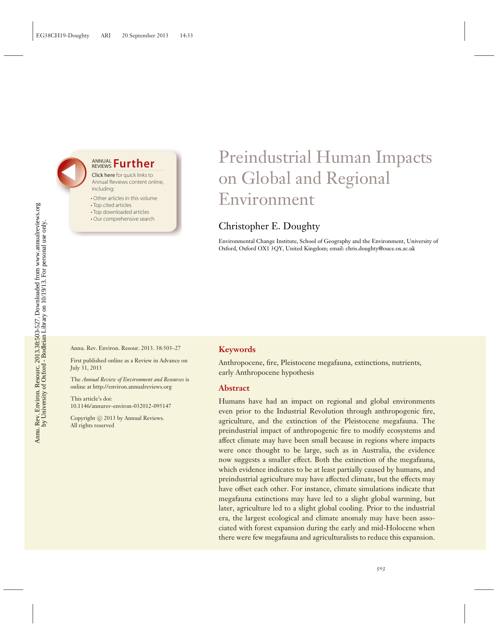## **ANNUAL Further**

Click here for quick links to Annual Reviews content online, including:

- Other articles in this volume
- Top cited articles
- Top downloaded articles
- Our comprehensive search

# Preindustrial Human Impacts on Global and Regional Environment

## Christopher E. Doughty

Environmental Change Institute, School of Geography and the Environment, University of Oxford, Oxford OX1 3QY, United Kingdom; email: chris.doughty@ouce.ox.ac.uk

Annu. Rev. Environ. Resour. 2013. 38:503–27

First published online as a Review in Advance on July 31, 2013

The *Annual Review of Environment and Resources* is online at http://environ.annualreviews.org

This article's doi: 10.1146/annurev-environ-032012-095147

Copyright © 2013 by Annual Reviews. All rights reserved

#### **Keywords**

Anthropocene, fire, Pleistocene megafauna, extinctions, nutrients, early Anthropocene hypothesis

#### **Abstract**

Humans have had an impact on regional and global environments even prior to the Industrial Revolution through anthropogenic fire, agriculture, and the extinction of the Pleistocene megafauna. The preindustrial impact of anthropogenic fire to modify ecosystems and affect climate may have been small because in regions where impacts were once thought to be large, such as in Australia, the evidence now suggests a smaller effect. Both the extinction of the megafauna, which evidence indicates to be at least partially caused by humans, and preindustrial agriculture may have affected climate, but the effects may have offset each other. For instance, climate simulations indicate that megafauna extinctions may have led to a slight global warming, but later, agriculture led to a slight global cooling. Prior to the industrial era, the largest ecological and climate anomaly may have been associated with forest expansion during the early and mid-Holocene when there were few megafauna and agriculturalists to reduce this expansion.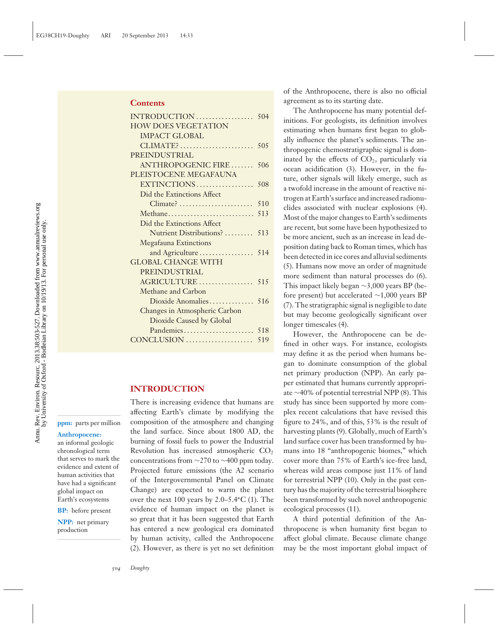| <b>HOW DOES VEGETATION</b>    |     |
|-------------------------------|-----|
| <b>IMPACT GLOBAL</b>          |     |
|                               |     |
| PREINDUSTRIAL                 |     |
| ANTHROPOGENIC FIRE            | 506 |
| PLEISTOCENE MEGAFAUNA         |     |
| EXTINCTIONS                   | 508 |
| Did the Extinctions Affect    |     |
|                               |     |
|                               |     |
| Did the Extinctions Affect    |     |
| Nutrient Distributions?  513  |     |
| <b>Megafauna Extinctions</b>  |     |
| and Agriculture  514          |     |
| <b>GLOBAL CHANGE WITH</b>     |     |
| PREINDUSTRIAL                 |     |
| AGRICULTURE 515               |     |
| Methane and Carbon            |     |
|                               |     |
| Changes in Atmospheric Carbon |     |
| Dioxide Caused by Global      |     |
|                               |     |
| CONCLUSION                    | 519 |

#### **INTRODUCTION**

**ppm:** parts per million

#### **Anthropocene:**

an informal geologic chronological term that serves to mark the evidence and extent of human activities that have had a significant global impact on Earth's ecosystems

**BP:** before present **NPP:** net primary

production

There is increasing evidence that humans are affecting Earth's climate by modifying the composition of the atmosphere and changing the land surface. Since about 1800 AD, the burning of fossil fuels to power the Industrial Revolution has increased atmospheric  $CO<sub>2</sub>$ concentrations from ∼270 to ∼400 ppm today. Projected future emissions (the A2 scenario of the Intergovernmental Panel on Climate Change) are expected to warm the planet over the next 100 years by 2.0–5.4**◦**C (1). The evidence of human impact on the planet is so great that it has been suggested that Earth has entered a new geological era dominated by human activity, called the Anthropocene (2). However, as there is yet no set definition

of the Anthropocene, there is also no official agreement as to its starting date.

The Anthropocene has many potential definitions. For geologists, its definition involves estimating when humans first began to globally influence the planet's sediments. The anthropogenic chemostratigraphic signal is dominated by the effects of  $CO<sub>2</sub>$ , particularly via ocean acidification (3). However, in the future, other signals will likely emerge, such as a twofold increase in the amount of reactive nitrogen at Earth's surface and increased radionuclides associated with nuclear explosions (4). Most of the major changes to Earth's sediments are recent, but some have been hypothesized to be more ancient, such as an increase in lead deposition dating back to Roman times, which has been detected in ice cores and alluvial sediments (5). Humans now move an order of magnitude more sediment than natural processes do (6). This impact likely began ∼3,000 years BP (before present) but accelerated ∼1,000 years BP (7). The stratigraphic signal is negligible to date but may become geologically significant over longer timescales (4).

However, the Anthropocene can be defined in other ways. For instance, ecologists may define it as the period when humans began to dominate consumption of the global net primary production (NPP). An early paper estimated that humans currently appropriate ∼40% of potential terrestrial NPP (8). This study has since been supported by more complex recent calculations that have revised this figure to 24%, and of this, 53% is the result of harvesting plants (9). Globally, much of Earth's land surface cover has been transformed by humans into 18 "anthropogenic biomes," which cover more than 75% of Earth's ice-free land, whereas wild areas compose just 11% of land for terrestrial NPP (10). Only in the past century has the majority of the terrestrial biosphere been transformed by such novel anthropogenic ecological processes (11).

A third potential definition of the Anthropocene is when humanity first began to affect global climate. Because climate change may be the most important global impact of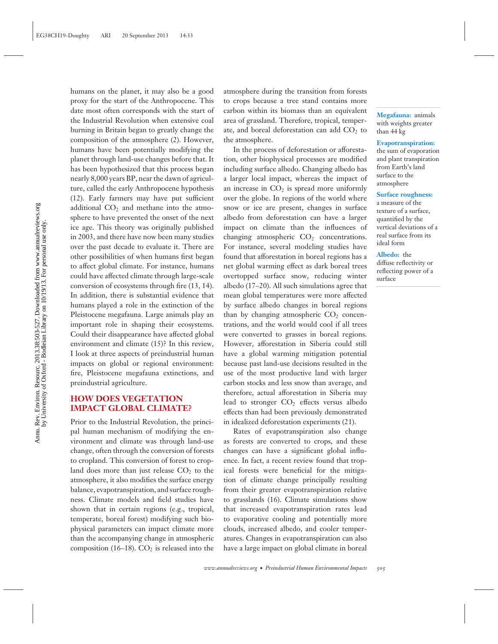humans on the planet, it may also be a good proxy for the start of the Anthropocene. This date most often corresponds with the start of the Industrial Revolution when extensive coal burning in Britain began to greatly change the composition of the atmosphere (2). However, humans have been potentially modifying the planet through land-use changes before that. It has been hypothesized that this process began nearly 8,000 years BP, near the dawn of agriculture, called the early Anthropocene hypothesis (12). Early farmers may have put sufficient additional  $CO<sub>2</sub>$  and methane into the atmosphere to have prevented the onset of the next ice age. This theory was originally published in 2003, and there have now been many studies over the past decade to evaluate it. There are other possibilities of when humans first began to affect global climate. For instance, humans could have affected climate through large-scale conversion of ecosystems through fire (13, 14). In addition, there is substantial evidence that humans played a role in the extinction of the Pleistocene megafauna. Large animals play an important role in shaping their ecosystems. Could their disappearance have affected global environment and climate (15)? In this review, I look at three aspects of preindustrial human impacts on global or regional environment: fire, Pleistocene megafauna extinctions, and preindustrial agriculture.

## **HOW DOES VEGETATION IMPACT GLOBAL CLIMATE?**

Prior to the Industrial Revolution, the principal human mechanism of modifying the environment and climate was through land-use change, often through the conversion of forests to cropland. This conversion of forest to cropland does more than just release  $CO<sub>2</sub>$  to the atmosphere, it also modifies the surface energy balance, evapotranspiration, and surface roughness. Climate models and field studies have shown that in certain regions (e.g., tropical, temperate, boreal forest) modifying such biophysical parameters can impact climate more than the accompanying change in atmospheric composition (16–18).  $CO<sub>2</sub>$  is released into the atmosphere during the transition from forests to crops because a tree stand contains more carbon within its biomass than an equivalent area of grassland. Therefore, tropical, temperate, and boreal deforestation can add  $CO<sub>2</sub>$  to the atmosphere.

In the process of deforestation or afforestation, other biophysical processes are modified including surface albedo. Changing albedo has a larger local impact, whereas the impact of an increase in  $CO<sub>2</sub>$  is spread more uniformly over the globe. In regions of the world where snow or ice are present, changes in surface albedo from deforestation can have a larger impact on climate than the influences of changing atmospheric  $CO<sub>2</sub>$  concentrations. For instance, several modeling studies have found that afforestation in boreal regions has a net global warming effect as dark boreal trees overtopped surface snow, reducing winter albedo (17–20). All such simulations agree that mean global temperatures were more affected by surface albedo changes in boreal regions than by changing atmospheric  $CO<sub>2</sub>$  concentrations, and the world would cool if all trees were converted to grasses in boreal regions. However, afforestation in Siberia could still have a global warming mitigation potential because past land-use decisions resulted in the use of the most productive land with larger carbon stocks and less snow than average, and therefore, actual afforestation in Siberia may lead to stronger  $CO<sub>2</sub>$  effects versus albedo effects than had been previously demonstrated in idealized deforestation experiments (21).

Rates of evapotranspiration also change as forests are converted to crops, and these changes can have a significant global influence. In fact, a recent review found that tropical forests were beneficial for the mitigation of climate change principally resulting from their greater evapotranspiration relative to grasslands (16). Climate simulations show that increased evapotranspiration rates lead to evaporative cooling and potentially more clouds, increased albedo, and cooler temperatures. Changes in evapotranspiration can also have a large impact on global climate in boreal

**Megafauna:** animals with weights greater than 44 kg

#### **Evapotranspiration:**

the sum of evaporation and plant transpiration from Earth's land surface to the atmosphere

#### **Surface roughness:**

a measure of the texture of a surface, quantified by the vertical deviations of a real surface from its ideal form

**Albedo:** the diffuse reflectivity or reflecting power of a surface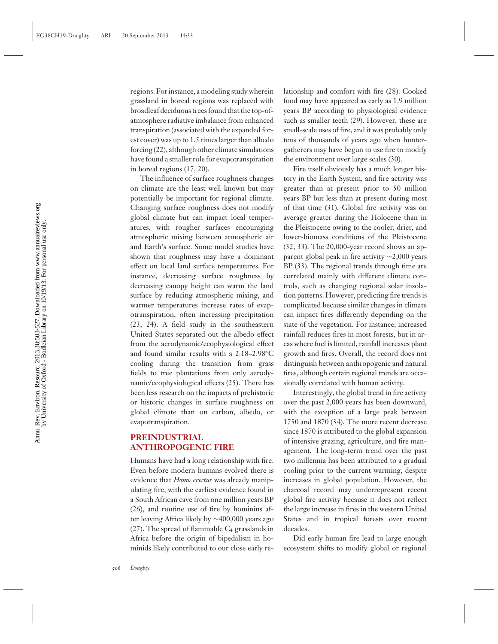Annu. Rev. Environ. Resourc. 2013.38:503-527. Downloaded from www.annualreviews.org<br>by University of Oxford - Bodleian Library on 10/19/13. For personal use only. Annu. Rev. Environ. Resourc. 2013.38:503-527. Downloaded from www.annualreviews.org by University of Oxford - Bodleian Library on 10/19/13. For personal use only.

regions. For instance, a modeling study wherein grassland in boreal regions was replaced with broadleaf deciduous trees found that the top-ofatmosphere radiative imbalance from enhanced transpiration (associated with the expanded forest cover) was up to 1.5 times larger than albedo forcing (22), although other climate simulations have found a smaller role for evapotranspiration in boreal regions (17, 20).

The influence of surface roughness changes on climate are the least well known but may potentially be important for regional climate. Changing surface roughness does not modify global climate but can impact local temperatures, with rougher surfaces encouraging atmospheric mixing between atmospheric air and Earth's surface. Some model studies have shown that roughness may have a dominant effect on local land surface temperatures. For instance, decreasing surface roughness by decreasing canopy height can warm the land surface by reducing atmospheric mixing, and warmer temperatures increase rates of evapotranspiration, often increasing precipitation (23, 24). A field study in the southeastern United States separated out the albedo effect from the aerodynamic/ecophysiological effect and found similar results with a 2.18–2.98**◦**C cooling during the transition from grass fields to tree plantations from only aerodynamic/ecophysiological effects (25). There has been less research on the impacts of prehistoric or historic changes in surface roughness on global climate than on carbon, albedo, or evapotranspiration.

## **PREINDUSTRIAL ANTHROPOGENIC FIRE**

Humans have had a long relationship with fire. Even before modern humans evolved there is evidence that *Homo erectus* was already manipulating fire, with the earliest evidence found in a South African cave from one million years BP (26), and routine use of fire by hominins after leaving Africa likely by ∼400,000 years ago  $(27)$ . The spread of flammable  $C_4$  grasslands in Africa before the origin of bipedalism in hominids likely contributed to our close early relationship and comfort with fire (28). Cooked food may have appeared as early as 1.9 million years BP according to physiological evidence such as smaller teeth (29). However, these are small-scale uses of fire, and it was probably only tens of thousands of years ago when huntergatherers may have begun to use fire to modify the environment over large scales (30).

Fire itself obviously has a much longer history in the Earth System, and fire activity was greater than at present prior to 50 million years BP but less than at present during most of that time (31). Global fire activity was on average greater during the Holocene than in the Pleistocene owing to the cooler, drier, and lower-biomass conditions of the Pleistocene (32, 33). The 20,000-year record shows an apparent global peak in fire activity ∼2,000 years BP (33). The regional trends through time are correlated mainly with different climate controls, such as changing regional solar insolation patterns. However, predicting fire trends is complicated because similar changes in climate can impact fires differently depending on the state of the vegetation. For instance, increased rainfall reduces fires in most forests, but in areas where fuel is limited, rainfall increases plant growth and fires. Overall, the record does not distinguish between anthropogenic and natural fires, although certain regional trends are occasionally correlated with human activity.

Interestingly, the global trend in fire activity over the past 2,000 years has been downward, with the exception of a large peak between 1750 and 1870 (34). The more recent decrease since 1870 is attributed to the global expansion of intensive grazing, agriculture, and fire management. The long-term trend over the past two millennia has been attributed to a gradual cooling prior to the current warming, despite increases in global population. However, the charcoal record may underrepresent recent global fire activity because it does not reflect the large increase in fires in the western United States and in tropical forests over recent decades.

Did early human fire lead to large enough ecosystem shifts to modify global or regional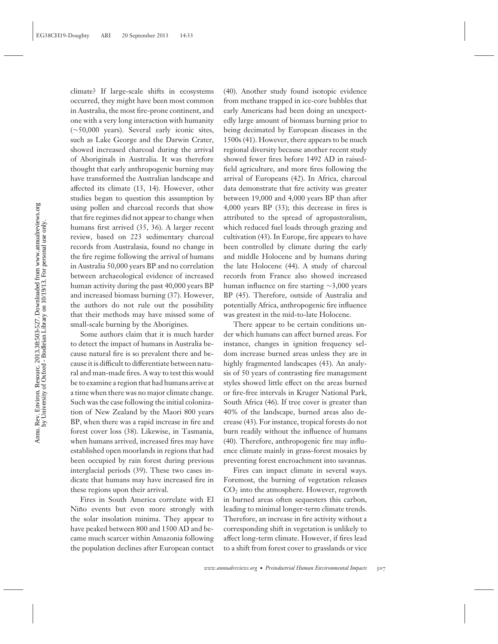climate? If large-scale shifts in ecosystems occurred, they might have been most common in Australia, the most fire-prone continent, and one with a very long interaction with humanity (∼50,000 years). Several early iconic sites, such as Lake George and the Darwin Crater, showed increased charcoal during the arrival of Aboriginals in Australia. It was therefore thought that early anthropogenic burning may have transformed the Australian landscape and affected its climate (13, 14). However, other studies began to question this assumption by using pollen and charcoal records that show that fire regimes did not appear to change when humans first arrived (35, 36). A larger recent review, based on 223 sedimentary charcoal records from Australasia, found no change in the fire regime following the arrival of humans in Australia 50,000 years BP and no correlation between archaeological evidence of increased human activity during the past 40,000 years BP and increased biomass burning (37). However, the authors do not rule out the possibility that their methods may have missed some of small-scale burning by the Aborigines.

Some authors claim that it is much harder to detect the impact of humans in Australia because natural fire is so prevalent there and because it is difficult to differentiate between natural and man-made fires. A way to test this would be to examine a region that had humans arrive at a time when there was no major climate change. Such was the case following the initial colonization of New Zealand by the Maori 800 years BP, when there was a rapid increase in fire and forest cover loss (38). Likewise, in Tasmania, when humans arrived, increased fires may have established open moorlands in regions that had been occupied by rain forest during previous interglacial periods (39). These two cases indicate that humans may have increased fire in these regions upon their arrival.

Fires in South America correlate with El Niño events but even more strongly with the solar insolation minima. They appear to have peaked between 800 and 1500 AD and became much scarcer within Amazonia following the population declines after European contact

(40). Another study found isotopic evidence from methane trapped in ice-core bubbles that early Americans had been doing an unexpectedly large amount of biomass burning prior to being decimated by European diseases in the 1500s (41). However, there appears to be much regional diversity because another recent study showed fewer fires before 1492 AD in raisedfield agriculture, and more fires following the arrival of Europeans (42). In Africa, charcoal data demonstrate that fire activity was greater between 19,000 and 4,000 years BP than after 4,000 years BP (33); this decrease in fires is attributed to the spread of agropastoralism, which reduced fuel loads through grazing and cultivation (43). In Europe, fire appears to have been controlled by climate during the early and middle Holocene and by humans during the late Holocene (44). A study of charcoal records from France also showed increased human influence on fire starting ∼3,000 years BP (45). Therefore, outside of Australia and potentially Africa, anthropogenic fire influence was greatest in the mid-to-late Holocene.

There appear to be certain conditions under which humans can affect burned areas. For instance, changes in ignition frequency seldom increase burned areas unless they are in highly fragmented landscapes (43). An analysis of 50 years of contrasting fire management styles showed little effect on the areas burned or fire-free intervals in Kruger National Park, South Africa (46). If tree cover is greater than 40% of the landscape, burned areas also decrease (43). For instance, tropical forests do not burn readily without the influence of humans (40). Therefore, anthropogenic fire may influence climate mainly in grass-forest mosaics by preventing forest encroachment into savannas.

Fires can impact climate in several ways. Foremost, the burning of vegetation releases CO2 into the atmosphere. However, regrowth in burned areas often sequesters this carbon, leading to minimal longer-term climate trends. Therefore, an increase in fire activity without a corresponding shift in vegetation is unlikely to affect long-term climate. However, if fires lead to a shift from forest cover to grasslands or vice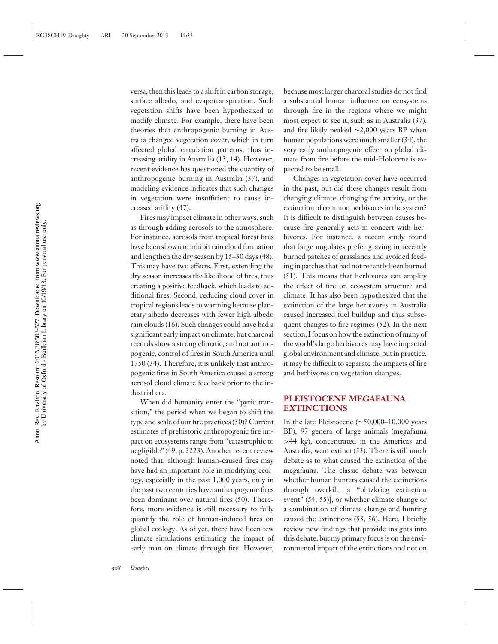versa, then this leads to a shift in carbon storage, surface albedo, and evapotranspiration. Such vegetation shifts have been hypothesized to modify climate. For example, there have been theories that anthropogenic burning in Australia changed vegetation cover, which in turn affected global circulation patterns, thus increasing aridity in Australia (13, 14). However, recent evidence has questioned the quantity of anthropogenic burning in Australia (37), and modeling evidence indicates that such changes in vegetation were insufficient to cause increased aridity (47).

Fires may impact climate in other ways, such as through adding aerosols to the atmosphere. For instance, aerosols from tropical forest fires have been shown to inhibit rain cloud formation and lengthen the dry season by 15–30 days (48). This may have two effects. First, extending the dry season increases the likelihood of fires, thus creating a positive feedback, which leads to additional fires. Second, reducing cloud cover in tropical regions leads to warming because planetary albedo decreases with fewer high albedo rain clouds (16). Such changes could have had a significant early impact on climate, but charcoal records show a strong climatic, and not anthropogenic, control of fires in South America until 1750 (34). Therefore, it is unlikely that anthropogenic fires in South America caused a strong aerosol cloud climate feedback prior to the industrial era.

When did humanity enter the "pyric transition," the period when we began to shift the type and scale of our fire practices (30)? Current estimates of prehistoric anthropogenic fire impact on ecosystems range from "catastrophic to negligible" (49, p. 2223). Another recent review noted that, although human-caused fires may have had an important role in modifying ecology, especially in the past 1,000 years, only in the past two centuries have anthropogenic fires been dominant over natural fires (50). Therefore, more evidence is still necessary to fully quantify the role of human-induced fires on global ecology. As of yet, there have been few climate simulations estimating the impact of early man on climate through fire. However,

because most larger charcoal studies do not find a substantial human influence on ecosystems through fire in the regions where we might most expect to see it, such as in Australia (37), and fire likely peaked ∼2,000 years BP when human populations were much smaller (34), the very early anthropogenic effect on global climate from fire before the mid-Holocene is expected to be small.

Changes in vegetation cover have occurred in the past, but did these changes result from changing climate, changing fire activity, or the extinction of common herbivores in the system? It is difficult to distinguish between causes because fire generally acts in concert with herbivores. For instance, a recent study found that large ungulates prefer grazing in recently burned patches of grasslands and avoided feeding in patches that had not recently been burned (51). This means that herbivores can amplify the effect of fire on ecosystem structure and climate. It has also been hypothesized that the extinction of the large herbivores in Australia caused increased fuel buildup and thus subsequent changes to fire regimes (52). In the next section, I focus on how the extinction of many of the world's large herbivores may have impacted global environment and climate, but in practice, it may be difficult to separate the impacts of fire and herbivores on vegetation changes.

## **PLEISTOCENE MEGAFAUNA EXTINCTIONS**

In the late Pleistocene (∼50,000–10,000 years BP), 97 genera of large animals (megafauna >44 kg), concentrated in the Americas and Australia, went extinct (53). There is still much debate as to what caused the extinction of the megafauna. The classic debate was between whether human hunters caused the extinctions through overkill [a "blitzkrieg extinction event" (54, 55)], or whether climate change or a combination of climate change and hunting caused the extinctions (53, 56). Here, I briefly review new findings that provide insights into this debate, but my primary focus is on the environmental impact of the extinctions and not on

Annu. Rev. Environ. Resourc. 2013.38:503-527. Downloaded from www.annualreviews.org<br>by University of Oxford - Bodleian Library on 10/19/13. For personal use only. Annu. Rev. Environ. Resourc. 2013.38:503-527. Downloaded from www.annualreviews.org by University of Oxford - Bodleian Library on 10/19/13. For personal use only.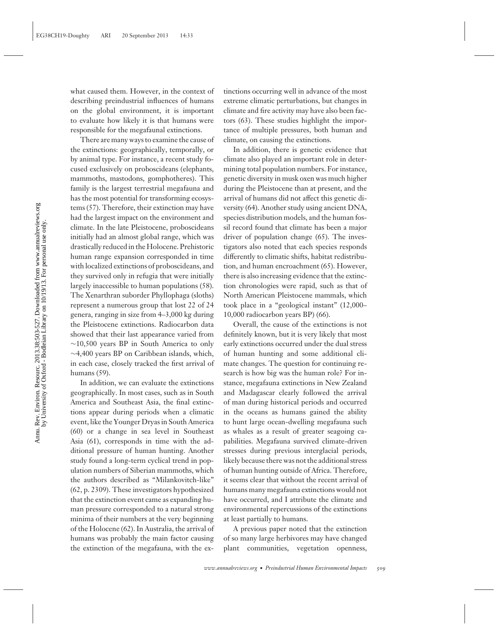what caused them. However, in the context of describing preindustrial influences of humans on the global environment, it is important to evaluate how likely it is that humans were responsible for the megafaunal extinctions.

There are many ways to examine the cause of the extinctions: geographically, temporally, or by animal type. For instance, a recent study focused exclusively on proboscideans (elephants, mammoths, mastodons, gomphotheres). This family is the largest terrestrial megafauna and has the most potential for transforming ecosystems (57). Therefore, their extinction may have had the largest impact on the environment and climate. In the late Pleistocene, proboscideans initially had an almost global range, which was drastically reduced in the Holocene. Prehistoric human range expansion corresponded in time with localized extinctions of proboscideans, and they survived only in refugia that were initially largely inaccessible to human populations (58). The Xenarthran suborder Phyllophaga (sloths) represent a numerous group that lost 22 of 24 genera, ranging in size from 4–3,000 kg during the Pleistocene extinctions. Radiocarbon data showed that their last appearance varied from ∼10,500 years BP in South America to only ∼4,400 years BP on Caribbean islands, which, in each case, closely tracked the first arrival of humans (59).

In addition, we can evaluate the extinctions geographically. In most cases, such as in South America and Southeast Asia, the final extinctions appear during periods when a climatic event, like the Younger Dryas in South America (60) or a change in sea level in Southeast Asia (61), corresponds in time with the additional pressure of human hunting. Another study found a long-term cyclical trend in population numbers of Siberian mammoths, which the authors described as "Milankovitch-like" (62, p. 2309). These investigators hypothesized that the extinction event came as expanding human pressure corresponded to a natural strong minima of their numbers at the very beginning of the Holocene (62). In Australia, the arrival of humans was probably the main factor causing the extinction of the megafauna, with the extinctions occurring well in advance of the most extreme climatic perturbations, but changes in climate and fire activity may have also been factors (63). These studies highlight the importance of multiple pressures, both human and climate, on causing the extinctions.

In addition, there is genetic evidence that climate also played an important role in determining total population numbers. For instance, genetic diversity in musk oxen was much higher during the Pleistocene than at present, and the arrival of humans did not affect this genetic diversity (64). Another study using ancient DNA, species distribution models, and the human fossil record found that climate has been a major driver of population change (65). The investigators also noted that each species responds differently to climatic shifts, habitat redistribution, and human encroachment (65). However, there is also increasing evidence that the extinction chronologies were rapid, such as that of North American Pleistocene mammals, which took place in a "geological instant" (12,000– 10,000 radiocarbon years BP) (66).

Overall, the cause of the extinctions is not definitely known, but it is very likely that most early extinctions occurred under the dual stress of human hunting and some additional climate changes. The question for continuing research is how big was the human role? For instance, megafauna extinctions in New Zealand and Madagascar clearly followed the arrival of man during historical periods and occurred in the oceans as humans gained the ability to hunt large ocean-dwelling megafauna such as whales as a result of greater seagoing capabilities. Megafauna survived climate-driven stresses during previous interglacial periods, likely because there was not the additional stress of human hunting outside of Africa. Therefore, it seems clear that without the recent arrival of humans many megafauna extinctions would not have occurred, and I attribute the climate and environmental repercussions of the extinctions at least partially to humans.

A previous paper noted that the extinction of so many large herbivores may have changed plant communities, vegetation openness,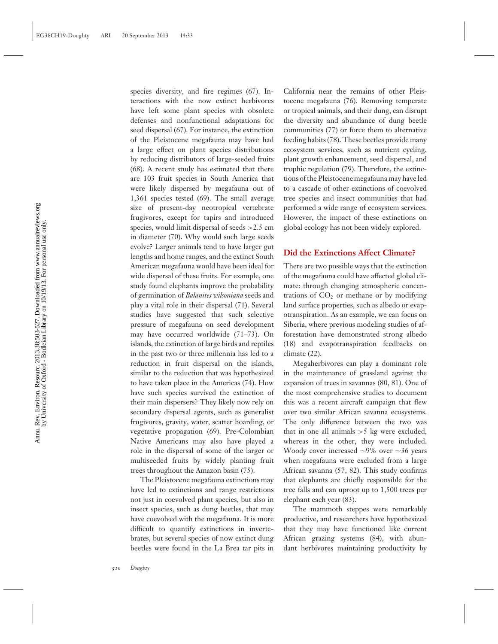species diversity, and fire regimes (67). Interactions with the now extinct herbivores have left some plant species with obsolete defenses and nonfunctional adaptations for seed dispersal (67). For instance, the extinction of the Pleistocene megafauna may have had a large effect on plant species distributions by reducing distributors of large-seeded fruits (68). A recent study has estimated that there are 103 fruit species in South America that were likely dispersed by megafauna out of 1,361 species tested (69). The small average size of present-day neotropical vertebrate frugivores, except for tapirs and introduced species, would limit dispersal of seeds >2.5 cm in diameter (70). Why would such large seeds evolve? Larger animals tend to have larger gut lengths and home ranges, and the extinct South American megafauna would have been ideal for wide dispersal of these fruits. For example, one study found elephants improve the probability of germination of *Balanites wilsoniana* seeds and play a vital role in their dispersal (71). Several studies have suggested that such selective pressure of megafauna on seed development may have occurred worldwide (71–73). On islands, the extinction of large birds and reptiles in the past two or three millennia has led to a reduction in fruit dispersal on the islands, similar to the reduction that was hypothesized to have taken place in the Americas (74). How have such species survived the extinction of their main dispersers? They likely now rely on secondary dispersal agents, such as generalist frugivores, gravity, water, scatter hoarding, or vegetative propagation (69). Pre-Colombian Native Americans may also have played a role in the dispersal of some of the larger or multiseeded fruits by widely planting fruit trees throughout the Amazon basin (75).

The Pleistocene megafauna extinctions may have led to extinctions and range restrictions not just in coevolved plant species, but also in insect species, such as dung beetles, that may have coevolved with the megafauna. It is more difficult to quantify extinctions in invertebrates, but several species of now extinct dung beetles were found in the La Brea tar pits in

California near the remains of other Pleistocene megafauna (76). Removing temperate or tropical animals, and their dung, can disrupt the diversity and abundance of dung beetle communities (77) or force them to alternative feeding habits (78). These beetles provide many ecosystem services, such as nutrient cycling, plant growth enhancement, seed dispersal, and trophic regulation (79). Therefore, the extinctions of the Pleistocene megafauna may have led to a cascade of other extinctions of coevolved tree species and insect communities that had performed a wide range of ecosystem services. However, the impact of these extinctions on global ecology has not been widely explored.

#### **Did the Extinctions Affect Climate?**

There are two possible ways that the extinction of the megafauna could have affected global climate: through changing atmospheric concentrations of  $CO<sub>2</sub>$  or methane or by modifying land surface properties, such as albedo or evapotranspiration. As an example, we can focus on Siberia, where previous modeling studies of afforestation have demonstrated strong albedo (18) and evapotranspiration feedbacks on climate (22).

Megaherbivores can play a dominant role in the maintenance of grassland against the expansion of trees in savannas (80, 81). One of the most comprehensive studies to document this was a recent aircraft campaign that flew over two similar African savanna ecosystems. The only difference between the two was that in one all animals  $>5$  kg were excluded, whereas in the other, they were included. Woody cover increased ∼9% over ∼36 years when megafauna were excluded from a large African savanna (57, 82). This study confirms that elephants are chiefly responsible for the tree falls and can uproot up to 1,500 trees per elephant each year (83).

The mammoth steppes were remarkably productive, and researchers have hypothesized that they may have functioned like current African grazing systems (84), with abundant herbivores maintaining productivity by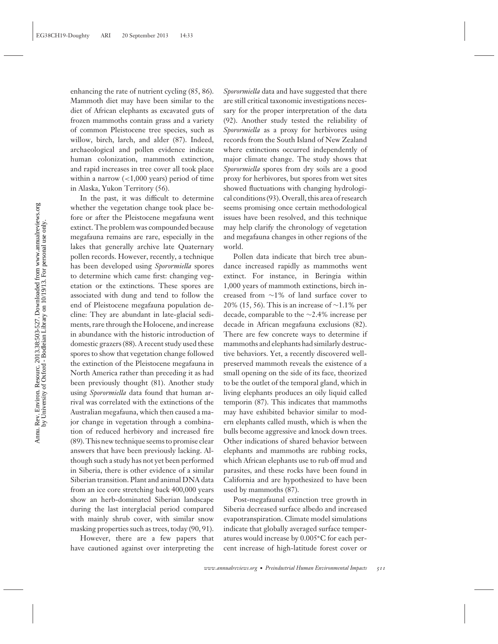enhancing the rate of nutrient cycling (85, 86). Mammoth diet may have been similar to the diet of African elephants as excavated guts of frozen mammoths contain grass and a variety of common Pleistocene tree species, such as willow, birch, larch, and alder (87). Indeed, archaeological and pollen evidence indicate human colonization, mammoth extinction, and rapid increases in tree cover all took place within a narrow  $\left($  < 1,000 years) period of time in Alaska, Yukon Territory (56).

In the past, it was difficult to determine whether the vegetation change took place before or after the Pleistocene megafauna went extinct. The problem was compounded because megafauna remains are rare, especially in the lakes that generally archive late Quaternary pollen records. However, recently, a technique has been developed using *Sporormiella* spores to determine which came first: changing vegetation or the extinctions. These spores are associated with dung and tend to follow the end of Pleistocene megafauna population decline: They are abundant in late-glacial sediments, rare through the Holocene, and increase in abundance with the historic introduction of domestic grazers (88). A recent study used these spores to show that vegetation change followed the extinction of the Pleistocene megafauna in North America rather than preceding it as had been previously thought (81). Another study using *Sporormiella* data found that human arrival was correlated with the extinctions of the Australian megafauna, which then caused a major change in vegetation through a combination of reduced herbivory and increased fire (89). This new technique seems to promise clear answers that have been previously lacking. Although such a study has not yet been performed in Siberia, there is other evidence of a similar Siberian transition. Plant and animal DNA data from an ice core stretching back 400,000 years show an herb-dominated Siberian landscape during the last interglacial period compared with mainly shrub cover, with similar snow masking properties such as trees, today (90, 91).

However, there are a few papers that have cautioned against over interpreting the *Sporormiella* data and have suggested that there are still critical taxonomic investigations necessary for the proper interpretation of the data (92). Another study tested the reliability of *Sporormiella* as a proxy for herbivores using records from the South Island of New Zealand where extinctions occurred independently of major climate change. The study shows that *Sporormiella* spores from dry soils are a good proxy for herbivores, but spores from wet sites showed fluctuations with changing hydrological conditions (93). Overall, this area of research seems promising once certain methodological issues have been resolved, and this technique may help clarify the chronology of vegetation and megafauna changes in other regions of the world.

Pollen data indicate that birch tree abundance increased rapidly as mammoths went extinct. For instance, in Beringia within 1,000 years of mammoth extinctions, birch increased from ∼1% of land surface cover to 20% (15, 56). This is an increase of ∼1.1% per decade, comparable to the ∼2.4% increase per decade in African megafauna exclusions (82). There are few concrete ways to determine if mammoths and elephants had similarly destructive behaviors. Yet, a recently discovered wellpreserved mammoth reveals the existence of a small opening on the side of its face, theorized to be the outlet of the temporal gland, which in living elephants produces an oily liquid called temporin (87). This indicates that mammoths may have exhibited behavior similar to modern elephants called musth, which is when the bulls become aggressive and knock down trees. Other indications of shared behavior between elephants and mammoths are rubbing rocks, which African elephants use to rub off mud and parasites, and these rocks have been found in California and are hypothesized to have been used by mammoths (87).

Post-megafaunal extinction tree growth in Siberia decreased surface albedo and increased evapotranspiration. Climate model simulations indicate that globally averaged surface temperatures would increase by 0.005**◦**C for each percent increase of high-latitude forest cover or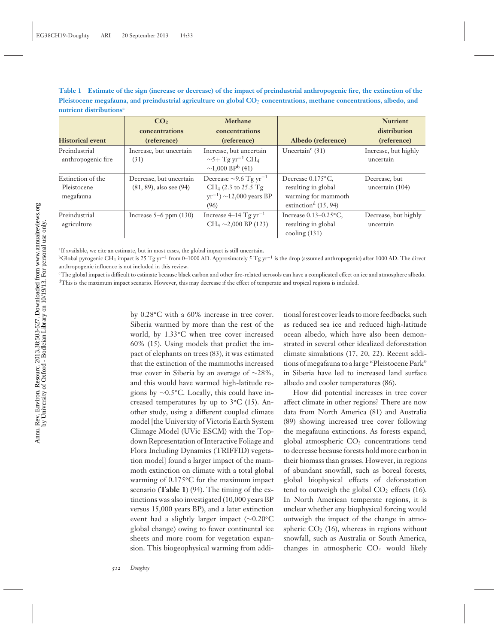**Table 1 Estimate of the sign (increase or decrease) of the impact of preindustrial anthropogenic fire, the extinction of the Pleistocene megafauna, and preindustrial agriculture on global CO**<sup>2</sup> **concentrations, methane concentrations, albedo, and nutrient distributions**<sup>a</sup>

|                                               | CO <sub>2</sub><br>concentrations                       | Methane<br>concentrations                                                                                          |                                                                                                       | <b>Nutrient</b><br>distribution   |
|-----------------------------------------------|---------------------------------------------------------|--------------------------------------------------------------------------------------------------------------------|-------------------------------------------------------------------------------------------------------|-----------------------------------|
| <b>Historical event</b>                       | (reference)                                             | (reference)                                                                                                        | Albedo (reference)                                                                                    | (reference)                       |
| Preindustrial<br>anthropogenic fire           | Increase, but uncertain<br>(31)                         | Increase, but uncertain<br>$\sim$ 5+ Tg yr <sup>-1</sup> CH <sub>4</sub><br>$\sim$ 1,000 BP <sup>b</sup> (41)      | Uncertain <sup>c</sup> $(31)$                                                                         | Increase, but highly<br>uncertain |
| Extinction of the<br>Pleistocene<br>megafauna | Decrease, but uncertain<br>$(81, 89)$ , also see $(94)$ | Decrease $\sim$ 9.6 Tg yr <sup>-1</sup><br>CH <sub>4</sub> (2.3 to 25.5 Tg<br>$yr^{-1}$ ) ~12,000 years BP<br>(96) | Decrease 0.175°C.<br>resulting in global<br>warming for mammoth<br>extinction <sup>d</sup> $(15, 94)$ | Decrease, but<br>uncertain (104)  |
| Preindustrial<br>agriculture                  | Increase $5-6$ ppm $(130)$                              | Increase $4-14$ Tg yr <sup>-1</sup><br>$CH_4 \sim 2,000$ BP (123)                                                  | Increase $0.13-0.25$ °C,<br>resulting in global<br>$\mathrm{cooling}\left(131\right)$                 | Decrease, but highly<br>uncertain |

<sup>a</sup>If available, we cite an estimate, but in most cases, the global impact is still uncertain.

<sup>b</sup>Global pyrogenic CH<sub>4</sub> impact is 25 Tg yr<sup>-1</sup> from 0–1000 AD. Approximately 5 Tg yr<sup>-1</sup> is the drop (assumed anthropogenic) after 1000 AD. The direct anthropogenic influence is not included in this review.

cThe global impact is difficult to estimate because black carbon and other fire-related aerosols can have a complicated effect on ice and atmosphere albedo. dThis is the maximum impact scenario. However, this may decrease if the effect of temperate and tropical regions is included.

> by 0.28**◦**C with a 60% increase in tree cover. Siberia warmed by more than the rest of the world, by 1.33**◦**C when tree cover increased 60% (15). Using models that predict the impact of elephants on trees (83), it was estimated that the extinction of the mammoths increased tree cover in Siberia by an average of ∼28%, and this would have warmed high-latitude regions by ∼0.5**◦**C. Locally, this could have increased temperatures by up to 3**◦**C (15). Another study, using a different coupled climate model [the University of Victoria Earth System Climage Model (UVic ESCM) with the Topdown Representation of Interactive Foliage and Flora Including Dynamics (TRIFFID) vegetation model] found a larger impact of the mammoth extinction on climate with a total global warming of 0.175**◦**C for the maximum impact scenario (**Table 1**) (94). The timing of the extinctions was also investigated (10,000 years BP versus 15,000 years BP), and a later extinction event had a slightly larger impact (∼0.20**◦**C global change) owing to fewer continental ice sheets and more room for vegetation expansion. This biogeophysical warming from addi

tional forest cover leads to more feedbacks, such as reduced sea ice and reduced high-latitude ocean albedo, which have also been demonstrated in several other idealized deforestation climate simulations (17, 20, 22). Recent additions of megafauna to a large "Pleistocene Park" in Siberia have led to increased land surface albedo and cooler temperatures (86).

How did potential increases in tree cover affect climate in other regions? There are now data from North America (81) and Australia (89) showing increased tree cover following the megafauna extinctions. As forests expand, global atmospheric  $CO<sub>2</sub>$  concentrations tend to decrease because forests hold more carbon in their biomass than grasses. However, in regions of abundant snowfall, such as boreal forests, global biophysical effects of deforestation tend to outweigh the global  $CO<sub>2</sub>$  effects (16). In North American temperate regions, it is unclear whether any biophysical forcing would outweigh the impact of the change in atmospheric  $CO<sub>2</sub>$  (16), whereas in regions without snowfall, such as Australia or South America, changes in atmospheric  $CO<sub>2</sub>$  would likely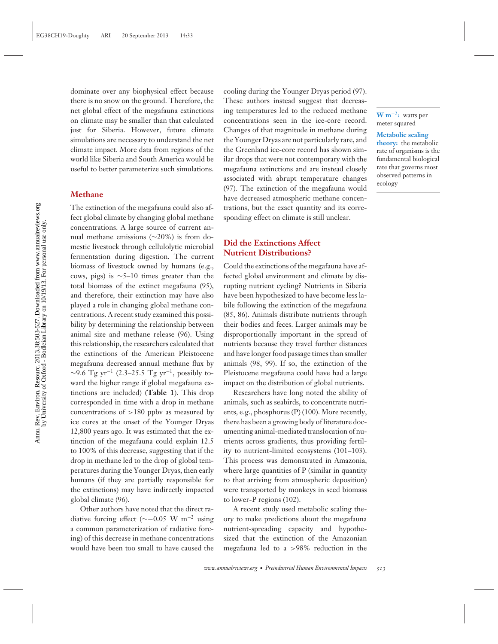dominate over any biophysical effect because there is no snow on the ground. Therefore, the net global effect of the megafauna extinctions on climate may be smaller than that calculated just for Siberia. However, future climate simulations are necessary to understand the net climate impact. More data from regions of the world like Siberia and South America would be useful to better parameterize such simulations.

### **Methane**

The extinction of the megafauna could also affect global climate by changing global methane concentrations. A large source of current annual methane emissions (∼20%) is from domestic livestock through cellulolytic microbial fermentation during digestion. The current biomass of livestock owned by humans (e.g., cows, pigs) is  $\sim$ 5–10 times greater than the total biomass of the extinct megafauna (95), and therefore, their extinction may have also played a role in changing global methane concentrations. A recent study examined this possibility by determining the relationship between animal size and methane release (96). Using this relationship, the researchers calculated that the extinctions of the American Pleistocene megafauna decreased annual methane flux by  $\sim$ 9.6 Tg yr<sup>-1</sup> (2.3–25.5 Tg yr<sup>-1</sup>, possibly toward the higher range if global megafauna extinctions are included) (**Table 1**). This drop corresponded in time with a drop in methane concentrations of  $>180$  ppbv as measured by ice cores at the onset of the Younger Dryas 12,800 years ago. It was estimated that the extinction of the megafauna could explain 12.5 to 100% of this decrease, suggesting that if the drop in methane led to the drop of global temperatures during the Younger Dryas, then early humans (if they are partially responsible for the extinctions) may have indirectly impacted global climate (96).

Other authors have noted that the direct radiative forcing effect ( $\sim$ −0.05 W m<sup>-2</sup> using a common parameterization of radiative forcing) of this decrease in methane concentrations would have been too small to have caused the

cooling during the Younger Dryas period (97). These authors instead suggest that decreasing temperatures led to the reduced methane concentrations seen in the ice-core record. Changes of that magnitude in methane during the Younger Dryas are not particularly rare, and the Greenland ice-core record has shown similar drops that were not contemporary with the megafauna extinctions and are instead closely associated with abrupt temperature changes (97). The extinction of the megafauna would have decreased atmospheric methane concentrations, but the exact quantity and its corresponding effect on climate is still unclear.

## **Did the Extinctions Affect Nutrient Distributions?**

Could the extinctions of the megafauna have affected global environment and climate by disrupting nutrient cycling? Nutrients in Siberia have been hypothesized to have become less labile following the extinction of the megafauna (85, 86). Animals distribute nutrients through their bodies and feces. Larger animals may be disproportionally important in the spread of nutrients because they travel further distances and have longer food passage times than smaller animals (98, 99). If so, the extinction of the Pleistocene megafauna could have had a large impact on the distribution of global nutrients.

Researchers have long noted the ability of animals, such as seabirds, to concentrate nutrients, e.g., phosphorus (P) (100). More recently, there has been a growing body of literature documenting animal-mediated translocation of nutrients across gradients, thus providing fertility to nutrient-limited ecosystems (101–103). This process was demonstrated in Amazonia, where large quantities of P (similar in quantity to that arriving from atmospheric deposition) were transported by monkeys in seed biomass to lower-P regions (102).

A recent study used metabolic scaling theory to make predictions about the megafauna nutrient-spreading capacity and hypothesized that the extinction of the Amazonian megafauna led to a >98% reduction in the

**W m**−2**:** watts per meter squared

#### **Metabolic scaling**

**theory:** the metabolic rate of organisms is the fundamental biological rate that governs most observed patterns in ecology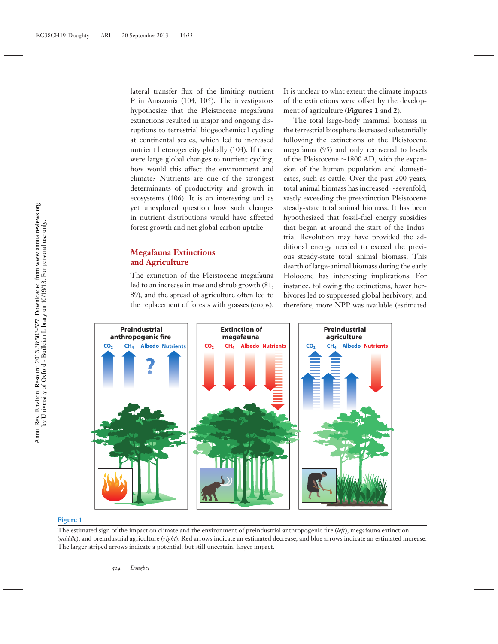lateral transfer flux of the limiting nutrient P in Amazonia (104, 105). The investigators hypothesize that the Pleistocene megafauna extinctions resulted in major and ongoing disruptions to terrestrial biogeochemical cycling at continental scales, which led to increased nutrient heterogeneity globally (104). If there were large global changes to nutrient cycling, how would this affect the environment and climate? Nutrients are one of the strongest determinants of productivity and growth in ecosystems (106). It is an interesting and as yet unexplored question how such changes in nutrient distributions would have affected forest growth and net global carbon uptake.

## **Megafauna Extinctions and Agriculture**

The extinction of the Pleistocene megafauna led to an increase in tree and shrub growth (81, 89), and the spread of agriculture often led to the replacement of forests with grasses (crops).

It is unclear to what extent the climate impacts of the extinctions were offset by the development of agriculture (**Figures 1** and **2**).

The total large-body mammal biomass in the terrestrial biosphere decreased substantially following the extinctions of the Pleistocene megafauna (95) and only recovered to levels of the Pleistocene ∼1800 AD, with the expansion of the human population and domesticates, such as cattle. Over the past 200 years, total animal biomass has increased ∼sevenfold, vastly exceeding the preextinction Pleistocene steady-state total animal biomass. It has been hypothesized that fossil-fuel energy subsidies that began at around the start of the Industrial Revolution may have provided the additional energy needed to exceed the previous steady-state total animal biomass. This dearth of large-animal biomass during the early Holocene has interesting implications. For instance, following the extinctions, fewer herbivores led to suppressed global herbivory, and therefore, more NPP was available (estimated



#### **Figure 1**

The estimated sign of the impact on climate and the environment of preindustrial anthropogenic fire (*left*), megafauna extinction (*middle*), and preindustrial agriculture (*right*). Red arrows indicate an estimated decrease, and blue arrows indicate an estimated increase. The larger striped arrows indicate a potential, but still uncertain, larger impact.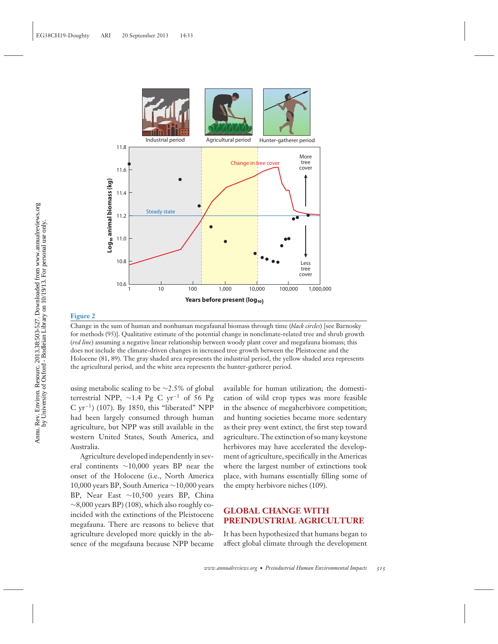

#### **Figure 2**

Change in the sum of human and nonhuman megafaunal biomass through time (*black circles*) [see Barnosky for methods (95)]. Qualitative estimate of the potential change in nonclimate-related tree and shrub growth (*red line*) assuming a negative linear relationship between woody plant cover and megafauna biomass; this does not include the climate-driven changes in increased tree growth between the Pleistocene and the Holocene (81, 89). The gray shaded area represents the industrial period, the yellow shaded area represents the agricultural period, and the white area represents the hunter-gatherer period.

using metabolic scaling to be ∼2.5% of global terrestrial NPP,  $\sim$ 1.4 Pg C yr<sup>-1</sup> of 56 Pg C yr−1) (107). By 1850, this "liberated" NPP had been largely consumed through human agriculture, but NPP was still available in the western United States, South America, and Australia.

Agriculture developed independently in several continents ∼10,000 years BP near the onset of the Holocene (i.e., North America 10,000 years BP, South America ∼10,000 years BP, Near East ∼10,500 years BP, China  $\sim$ 8,000 years BP) (108), which also roughly coincided with the extinctions of the Pleistocene megafauna. There are reasons to believe that agriculture developed more quickly in the absence of the megafauna because NPP became

available for human utilization; the domestication of wild crop types was more feasible in the absence of megaherbivore competition; and hunting societies became more sedentary as their prey went extinct, the first step toward agriculture. The extinction of so many keystone herbivores may have accelerated the development of agriculture, specifically in the Americas where the largest number of extinctions took place, with humans essentially filling some of the empty herbivore niches (109).

## **GLOBAL CHANGE WITH PREINDUSTRIAL AGRICULTURE**

It has been hypothesized that humans began to affect global climate through the development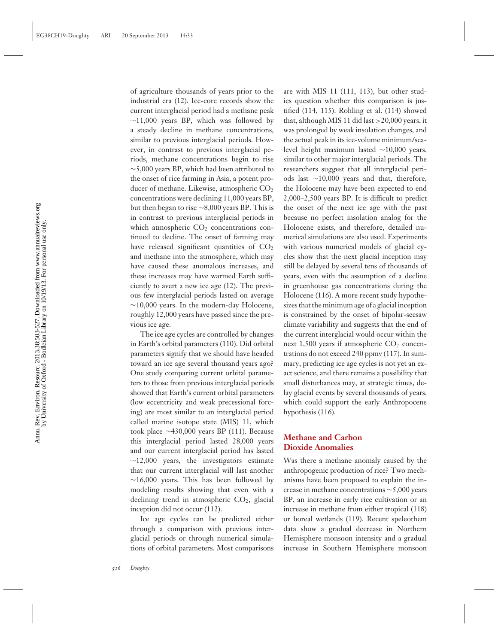of agriculture thousands of years prior to the industrial era (12). Ice-core records show the current interglacial period had a methane peak ∼11,000 years BP, which was followed by a steady decline in methane concentrations, similar to previous interglacial periods. However, in contrast to previous interglacial periods, methane concentrations begin to rise ∼5,000 years BP, which had been attributed to the onset of rice farming in Asia, a potent producer of methane. Likewise, atmospheric  $CO<sub>2</sub>$ concentrations were declining 11,000 years BP, but then began to rise ∼8,000 years BP. This is in contrast to previous interglacial periods in which atmospheric  $CO<sub>2</sub>$  concentrations continued to decline. The onset of farming may have released significant quantities of  $CO<sub>2</sub>$ and methane into the atmosphere, which may have caused these anomalous increases, and these increases may have warmed Earth sufficiently to avert a new ice age (12). The previous few interglacial periods lasted on average ∼10,000 years. In the modern-day Holocene, roughly 12,000 years have passed since the previous ice age.

The ice age cycles are controlled by changes in Earth's orbital parameters (110). Did orbital parameters signify that we should have headed toward an ice age several thousand years ago? One study comparing current orbital parameters to those from previous interglacial periods showed that Earth's current orbital parameters (low eccentricity and weak precessional forcing) are most similar to an interglacial period called marine isotope state (MIS) 11, which took place ∼430,000 years BP (111). Because this interglacial period lasted 28,000 years and our current interglacial period has lasted  $~\sim$ 12,000 years, the investigators estimate that our current interglacial will last another  $~\sim$ 16,000 years. This has been followed by modeling results showing that even with a declining trend in atmospheric  $CO<sub>2</sub>$ , glacial inception did not occur (112).

Ice age cycles can be predicted either through a comparison with previous interglacial periods or through numerical simulations of orbital parameters. Most comparisons are with MIS 11 (111, 113), but other studies question whether this comparison is justified (114, 115). Rohling et al. (114) showed that, although MIS 11 did last  $>$  20,000 years, it was prolonged by weak insolation changes, and the actual peak in its ice-volume minimum/sealevel height maximum lasted ∼10,000 years, similar to other major interglacial periods. The researchers suggest that all interglacial periods last ∼10,000 years and that, therefore, the Holocene may have been expected to end 2,000–2,500 years BP. It is difficult to predict the onset of the next ice age with the past because no perfect insolation analog for the Holocene exists, and therefore, detailed numerical simulations are also used. Experiments with various numerical models of glacial cycles show that the next glacial inception may still be delayed by several tens of thousands of years, even with the assumption of a decline in greenhouse gas concentrations during the Holocene (116). A more recent study hypothesizes that the minimum age of a glacial inception is constrained by the onset of bipolar-seesaw climate variability and suggests that the end of the current interglacial would occur within the next  $1,500$  years if atmospheric  $CO<sub>2</sub>$  concentrations do not exceed 240 ppmv (117). In summary, predicting ice age cycles is not yet an exact science, and there remains a possibility that small disturbances may, at strategic times, delay glacial events by several thousands of years, which could support the early Anthropocene hypothesis (116).

## **Methane and Carbon Dioxide Anomalies**

Was there a methane anomaly caused by the anthropogenic production of rice? Two mechanisms have been proposed to explain the increase in methane concentrations ∼5,000 years BP, an increase in early rice cultivation or an increase in methane from either tropical (118) or boreal wetlands (119). Recent speleothem data show a gradual decrease in Northern Hemisphere monsoon intensity and a gradual increase in Southern Hemisphere monsoon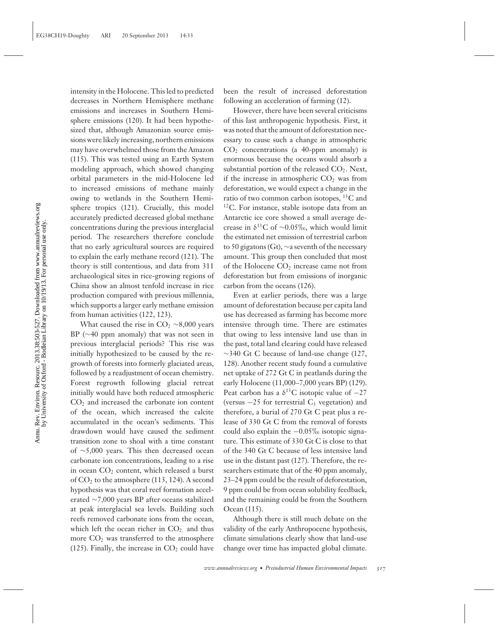intensity in the Holocene. This led to predicted decreases in Northern Hemisphere methane emissions and increases in Southern Hemisphere emissions (120). It had been hypothesized that, although Amazonian source emissions were likely increasing, northern emissions may have overwhelmed those from the Amazon (115). This was tested using an Earth System modeling approach, which showed changing orbital parameters in the mid-Holocene led to increased emissions of methane mainly owing to wetlands in the Southern Hemisphere tropics (121). Crucially, this model accurately predicted decreased global methane concentrations during the previous interglacial period. The researchers therefore conclude that no early agricultural sources are required to explain the early methane record (121). The theory is still contentious, and data from 311 archaeological sites in rice-growing regions of China show an almost tenfold increase in rice production compared with previous millennia, which supports a larger early methane emission from human activities (122, 123).

What caused the rise in  $CO<sub>2</sub> \sim 8,000$  years BP (∼40 ppm anomaly) that was not seen in previous interglacial periods? This rise was initially hypothesized to be caused by the regrowth of forests into formerly glaciated areas, followed by a readjustment of ocean chemistry. Forest regrowth following glacial retreat initially would have both reduced atmospheric  $CO<sub>2</sub>$  and increased the carbonate ion content of the ocean, which increased the calcite accumulated in the ocean's sediments. This drawdown would have caused the sediment transition zone to shoal with a time constant of ∼5,000 years. This then decreased ocean carbonate ion concentrations, leading to a rise in ocean  $CO<sub>2</sub>$  content, which released a burst of  $CO<sub>2</sub>$  to the atmosphere (113, 124). A second hypothesis was that coral reef formation accelerated ∼7,000 years BP after oceans stabilized at peak interglacial sea levels. Building such reefs removed carbonate ions from the ocean, which left the ocean richer in  $CO<sub>2</sub>$  and thus more  $CO<sub>2</sub>$  was transferred to the atmosphere (125). Finally, the increase in  $CO<sub>2</sub>$  could have been the result of increased deforestation following an acceleration of farming (12).

However, there have been several criticisms of this last anthropogenic hypothesis. First, it was noted that the amount of deforestation necessary to cause such a change in atmospheric  $CO<sub>2</sub>$  concentrations (a 40-ppm anomaly) is enormous because the oceans would absorb a substantial portion of the released  $CO<sub>2</sub>$ . Next, if the increase in atmospheric  $CO<sub>2</sub>$  was from deforestation, we would expect a change in the ratio of two common carbon isotopes,  ${}^{13}C$  and <sup>12</sup>C. For instance, stable isotope data from an Antarctic ice core showed a small average decrease in  $\delta^{13}$ C of ~0.05‰, which would limit the estimated net emission of terrestrial carbon to 50 gigatons (Gt), ∼a seventh of the necessary amount. This group then concluded that most of the Holocene  $CO<sub>2</sub>$  increase came not from deforestation but from emissions of inorganic carbon from the oceans (126).

Even at earlier periods, there was a large amount of deforestation because per capita land use has decreased as farming has become more intensive through time. There are estimates that owing to less intensive land use than in the past, total land clearing could have released ∼340 Gt C because of land-use change (127, 128). Another recent study found a cumulative net uptake of 272 Gt C in peatlands during the early Holocene (11,000–7,000 years BP) (129). Peat carbon has a  $\delta^{13}$ C isotopic value of  $-27$ (versus  $-25$  for terrestrial C<sub>3</sub> vegetation) and therefore, a burial of 270 Gt C peat plus a release of 330 Gt C from the removal of forests could also explain the −0.05‰ isotopic signature. This estimate of 330 Gt C is close to that of the 340 Gt C because of less intensive land use in the distant past (127). Therefore, the researchers estimate that of the 40 ppm anomaly, 23–24 ppm could be the result of deforestation, 9 ppm could be from ocean solubility feedback, and the remaining could be from the Southern Ocean (115).

Although there is still much debate on the validity of the early Anthropocene hypothesis, climate simulations clearly show that land-use change over time has impacted global climate.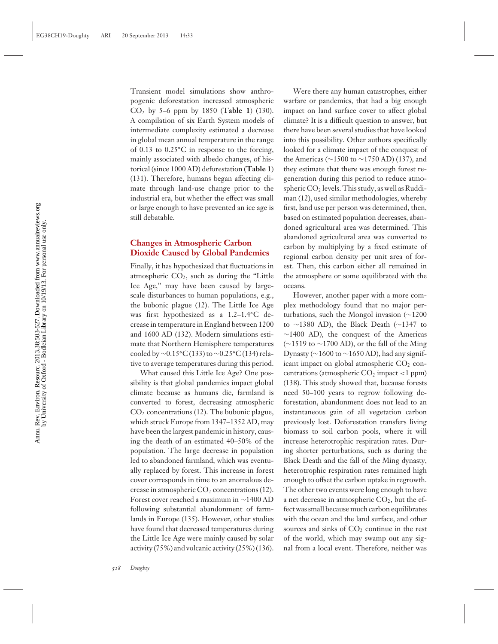Transient model simulations show anthropogenic deforestation increased atmospheric CO2 by 5–6 ppm by 1850 (**Table 1**) (130). A compilation of six Earth System models of intermediate complexity estimated a decrease in global mean annual temperature in the range of 0.13 to 0.25**◦**C in response to the forcing, mainly associated with albedo changes, of historical (since 1000 AD) deforestation (**Table 1**) (131). Therefore, humans began affecting climate through land-use change prior to the industrial era, but whether the effect was small or large enough to have prevented an ice age is still debatable.

#### **Changes in Atmospheric Carbon Dioxide Caused by Global Pandemics**

Finally, it has hypothesized that fluctuations in atmospheric  $CO<sub>2</sub>$ , such as during the "Little Ice Age," may have been caused by largescale disturbances to human populations, e.g., the bubonic plague (12). The Little Ice Age was first hypothesized as a 1.2–1.4**◦**C decrease in temperature in England between 1200 and 1600 AD (132). Modern simulations estimate that Northern Hemisphere temperatures cooled by ∼0.15**◦**C (133) to ∼0.25**◦**C (134) relative to average temperatures during this period.

What caused this Little Ice Age? One possibility is that global pandemics impact global climate because as humans die, farmland is converted to forest, decreasing atmospheric  $CO<sub>2</sub>$  concentrations (12). The bubonic plague, which struck Europe from 1347–1352 AD, may have been the largest pandemic in history, causing the death of an estimated 40–50% of the population. The large decrease in population led to abandoned farmland, which was eventually replaced by forest. This increase in forest cover corresponds in time to an anomalous decrease in atmospheric  $CO<sub>2</sub>$  concentrations (12). Forest cover reached a maximum in ∼1400 AD following substantial abandonment of farmlands in Europe (135). However, other studies have found that decreased temperatures during the Little Ice Age were mainly caused by solar activity (75%) and volcanic activity (25%) (136).

Were there any human catastrophes, either warfare or pandemics, that had a big enough impact on land surface cover to affect global climate? It is a difficult question to answer, but there have been several studies that have looked into this possibility. Other authors specifically looked for a climate impact of the conquest of the Americas (∼1500 to ∼1750 AD) (137), and they estimate that there was enough forest regeneration during this period to reduce atmospheric  $CO<sub>2</sub>$  levels. This study, as well as Ruddiman (12), used similar methodologies, whereby first, land use per person was determined, then, based on estimated population decreases, abandoned agricultural area was determined. This abandoned agricultural area was converted to carbon by multiplying by a fixed estimate of regional carbon density per unit area of forest. Then, this carbon either all remained in the atmosphere or some equilibrated with the oceans.

However, another paper with a more complex methodology found that no major perturbations, such the Mongol invasion (∼1200 to ∼1380 AD), the Black Death (∼1347 to ∼1400 AD), the conquest of the Americas (∼1519 to ∼1700 AD), or the fall of the Ming Dynasty (∼1600 to ∼1650 AD), had any significant impact on global atmospheric  $CO<sub>2</sub>$  concentrations (atmospheric  $CO<sub>2</sub>$  impact <1 ppm) (138). This study showed that, because forests need 50–100 years to regrow following deforestation, abandonment does not lead to an instantaneous gain of all vegetation carbon previously lost. Deforestation transfers living biomass to soil carbon pools, where it will increase heterotrophic respiration rates. During shorter perturbations, such as during the Black Death and the fall of the Ming dynasty, heterotrophic respiration rates remained high enough to offset the carbon uptake in regrowth. The other two events were long enough to have a net decrease in atmospheric  $CO<sub>2</sub>$ , but the effect was small because much carbon equilibrates with the ocean and the land surface, and other sources and sinks of  $CO<sub>2</sub>$  continue in the rest of the world, which may swamp out any signal from a local event. Therefore, neither was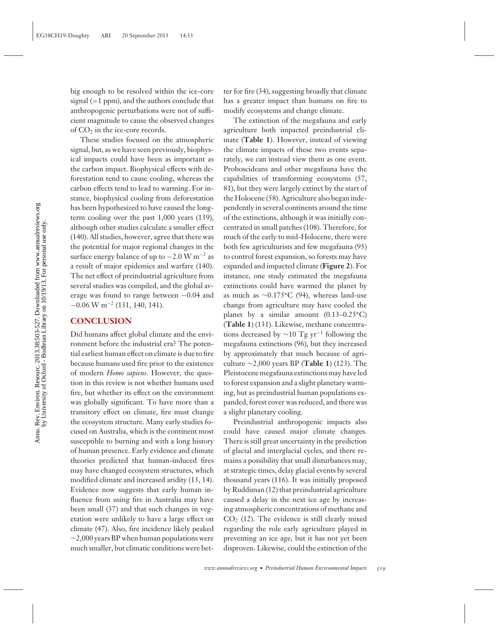big enough to be resolved within the ice-core signal  $(>1$  ppm), and the authors conclude that anthropogenic perturbations were not of sufficient magnitude to cause the observed changes of  $CO<sub>2</sub>$  in the ice-core records.

These studies focused on the atmospheric signal, but, as we have seen previously, biophysical impacts could have been as important as the carbon impact. Biophysical effects with deforestation tend to cause cooling, whereas the carbon effects tend to lead to warming. For instance, biophysical cooling from deforestation has been hypothesized to have caused the longterm cooling over the past 1,000 years (139), although other studies calculate a smaller effect (140). All studies, however, agree that there was the potential for major regional changes in the surface energy balance of up to  $-2.0 \,\mathrm{W m^{-2}}$  as a result of major epidemics and warfare (140). The net effect of preindustrial agriculture from several studies was compiled, and the global average was found to range between −0.04 and  $-0.06$  W m<sup>-2</sup> (131, 140, 141).

#### **CONCLUSION**

Did humans affect global climate and the environment before the industrial era? The potential earliest human effect on climate is due to fire because humans used fire prior to the existence of modern *Homo sapiens*. However, the question in this review is not whether humans used fire, but whether its effect on the environment was globally significant. To have more than a transitory effect on climate, fire must change the ecosystem structure. Many early studies focused on Australia, which is the continent most susceptible to burning and with a long history of human presence. Early evidence and climate theories predicted that human-induced fires may have changed ecosystem structures, which modified climate and increased aridity (13, 14). Evidence now suggests that early human influence from using fire in Australia may have been small (37) and that such changes in vegetation were unlikely to have a large effect on climate (47). Also, fire incidence likely peaked ∼2,000 years BP when human populations were much smaller, but climatic conditions were better for fire (34), suggesting broadly that climate has a greater impact than humans on fire to modify ecosystems and change climate.

The extinction of the megafauna and early agriculture both impacted preindustrial climate (**Table 1**). However, instead of viewing the climate impacts of these two events separately, we can instead view them as one event. Proboscideans and other megafauna have the capabilities of transforming ecosystems (57, 81), but they were largely extinct by the start of the Holocene (58). Agriculture also began independently in several continents around the time of the extinctions, although it was initially concentrated in small patches (108). Therefore, for much of the early to mid-Holocene, there were both few agriculturists and few megafauna (95) to control forest expansion, so forests may have expanded and impacted climate (**Figure 2**). For instance, one study estimated the megafauna extinctions could have warmed the planet by as much as ∼0.175**◦**C (94), whereas land-use change from agriculture may have cooled the planet by a similar amount (0.13–0.25**◦**C) (**Table 1**) (131). Likewise, methane concentrations decreased by  $\sim$ 10 Tg yr<sup>-1</sup> following the megafauna extinctions (96), but they increased by approximately that much because of agriculture ∼2,000 years BP (**Table 1**) (123). The Pleistocene megafauna extinctions may have led to forest expansion and a slight planetary warming, but as preindustrial human populations expanded, forest cover was reduced, and there was a slight planetary cooling.

Preindustrial anthropogenic impacts also could have caused major climate changes. There is still great uncertainty in the prediction of glacial and interglacial cycles, and there remains a possibility that small disturbances may, at strategic times, delay glacial events by several thousand years (116). It was initially proposed by Ruddiman (12) that preindustrial agriculture caused a delay in the next ice age by increasing atmospheric concentrations of methane and  $CO<sub>2</sub>$  (12). The evidence is still clearly mixed regarding the role early agriculture played in preventing an ice age, but it has not yet been disproven. Likewise, could the extinction of the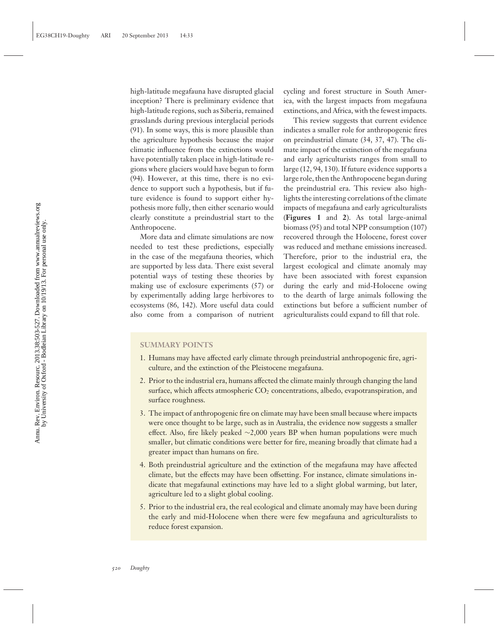high-latitude megafauna have disrupted glacial inception? There is preliminary evidence that high-latitude regions, such as Siberia, remained grasslands during previous interglacial periods (91). In some ways, this is more plausible than the agriculture hypothesis because the major climatic influence from the extinctions would have potentially taken place in high-latitude regions where glaciers would have begun to form (94). However, at this time, there is no evidence to support such a hypothesis, but if future evidence is found to support either hypothesis more fully, then either scenario would clearly constitute a preindustrial start to the Anthropocene.

More data and climate simulations are now needed to test these predictions, especially in the case of the megafauna theories, which are supported by less data. There exist several potential ways of testing these theories by making use of exclosure experiments (57) or by experimentally adding large herbivores to ecosystems (86, 142). More useful data could also come from a comparison of nutrient cycling and forest structure in South America, with the largest impacts from megafauna extinctions, and Africa, with the fewest impacts.

This review suggests that current evidence indicates a smaller role for anthropogenic fires on preindustrial climate (34, 37, 47). The climate impact of the extinction of the megafauna and early agriculturists ranges from small to large (12, 94, 130). If future evidence supports a large role, then the Anthropocene began during the preindustrial era. This review also highlights the interesting correlations of the climate impacts of megafauna and early agriculturalists (**Figures 1** and **2**). As total large-animal biomass (95) and total NPP consumption (107) recovered through the Holocene, forest cover was reduced and methane emissions increased. Therefore, prior to the industrial era, the largest ecological and climate anomaly may have been associated with forest expansion during the early and mid-Holocene owing to the dearth of large animals following the extinctions but before a sufficient number of agriculturalists could expand to fill that role.

#### **SUMMARY POINTS**

- 1. Humans may have affected early climate through preindustrial anthropogenic fire, agriculture, and the extinction of the Pleistocene megafauna.
- 2. Prior to the industrial era, humans affected the climate mainly through changing the land surface, which affects atmospheric  $CO<sub>2</sub>$  concentrations, albedo, evapotranspiration, and surface roughness.
- 3. The impact of anthropogenic fire on climate may have been small because where impacts were once thought to be large, such as in Australia, the evidence now suggests a smaller effect. Also, fire likely peaked ∼2,000 years BP when human populations were much smaller, but climatic conditions were better for fire, meaning broadly that climate had a greater impact than humans on fire.
- 4. Both preindustrial agriculture and the extinction of the megafauna may have affected climate, but the effects may have been offsetting. For instance, climate simulations indicate that megafaunal extinctions may have led to a slight global warming, but later, agriculture led to a slight global cooling.
- 5. Prior to the industrial era, the real ecological and climate anomaly may have been during the early and mid-Holocene when there were few megafauna and agriculturalists to reduce forest expansion.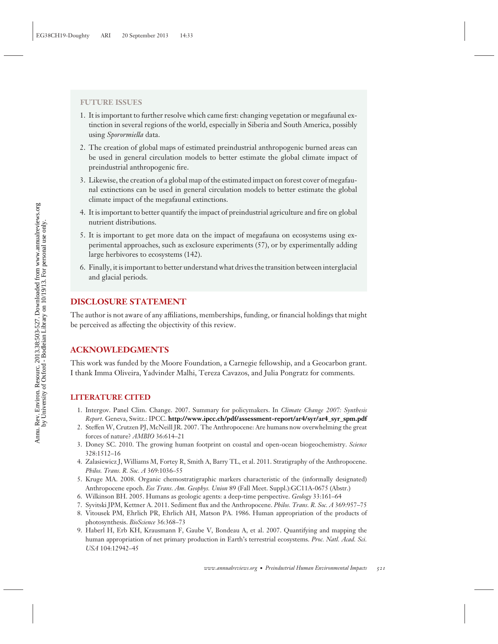#### **FUTURE ISSUES**

- 1. It is important to further resolve which came first: changing vegetation or megafaunal extinction in several regions of the world, especially in Siberia and South America, possibly using *Sporormiella* data.
- 2. The creation of global maps of estimated preindustrial anthropogenic burned areas can be used in general circulation models to better estimate the global climate impact of preindustrial anthropogenic fire.
- 3. Likewise, the creation of a global map of the estimated impact on forest cover of megafaunal extinctions can be used in general circulation models to better estimate the global climate impact of the megafaunal extinctions.
- 4. It is important to better quantify the impact of preindustrial agriculture and fire on global nutrient distributions.
- 5. It is important to get more data on the impact of megafauna on ecosystems using experimental approaches, such as exclosure experiments (57), or by experimentally adding large herbivores to ecosystems (142).
- 6. Finally, it is important to better understand what drives the transition between interglacial and glacial periods.

## **DISCLOSURE STATEMENT**

The author is not aware of any affiliations, memberships, funding, or financial holdings that might be perceived as affecting the objectivity of this review.

## **ACKNOWLEDGMENTS**

This work was funded by the Moore Foundation, a Carnegie fellowship, and a Geocarbon grant. I thank Imma Oliveira, Yadvinder Malhi, Tereza Cavazos, and Julia Pongratz for comments.

## **LITERATURE CITED**

- 1. Intergov. Panel Clim. Change. 2007. Summary for policymakers. In *Climate Change 2007: Synthesis Report.* Geneva, Switz.: IPCC. **[http://www.ipcc.ch/pdf/assessment-report/ar4/syr/ar4\\_syr\\_spm.pdf](http://www.ipcc.ch/pdf/assessment-report/ar4/syr/ar4_syr_spm.pdf)**
- 2. Steffen W, Crutzen PJ, McNeill JR. 2007. The Anthropocene: Are humans now overwhelming the great forces of nature? *AMBIO* 36:614–21
- 3. Doney SC. 2010. The growing human footprint on coastal and open-ocean biogeochemistry. *Science* 328:1512–16
- 4. Zalasiewicz J, Williams M, Fortey R, Smith A, Barry TL, et al. 2011. Stratigraphy of the Anthropocene. *Philos. Trans. R. Soc. A* 369:1036–55
- 5. Kruge MA. 2008. Organic chemostratigraphic markers characteristic of the (informally designated) Anthropocene epoch. *Eos Trans. Am. Geophys. Union* 89 (Fall Meet. Suppl.):GC11A-0675 (Abstr.)
- 6. Wilkinson BH. 2005. Humans as geologic agents: a deep-time perspective. *Geology* 33:161–64
- 7. Syvitski JPM, Kettner A. 2011. Sediment flux and the Anthropocene. *Philos. Trans. R. Soc. A* 369:957–75
- 8. Vitousek PM, Ehrlich PR, Ehrlich AH, Matson PA. 1986. Human appropriation of the products of photosynthesis. *BioScience* 36:368–73
- 9. Haberl H, Erb KH, Krausmann F, Gaube V, Bondeau A, et al. 2007. Quantifying and mapping the human appropriation of net primary production in Earth's terrestrial ecosystems. *Proc. Natl. Acad. Sci. USA* 104:12942–45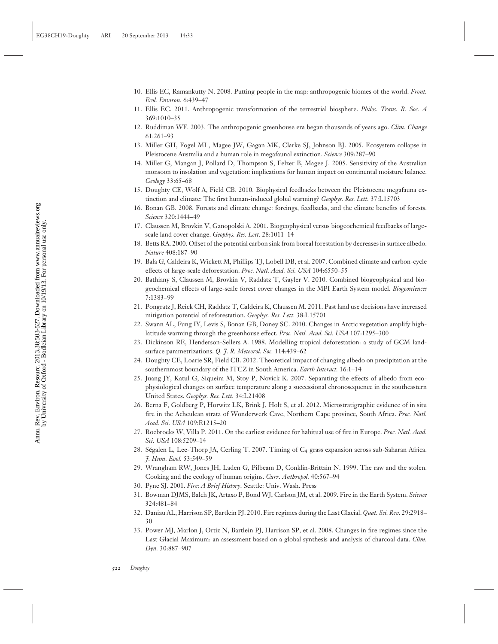- 10. Ellis EC, Ramankutty N. 2008. Putting people in the map: anthropogenic biomes of the world. *Front. Ecol. Environ.* 6:439–47
- 11. Ellis EC. 2011. Anthropogenic transformation of the terrestrial biosphere. *Philos. Trans. R. Soc. A* 369:1010–35
- 12. Ruddiman WF. 2003. The anthropogenic greenhouse era began thousands of years ago. *Clim. Change* 61:261–93
- 13. Miller GH, Fogel ML, Magee JW, Gagan MK, Clarke SJ, Johnson BJ. 2005. Ecosystem collapse in Pleistocene Australia and a human role in megafaunal extinction. *Science* 309:287–90
- 14. Miller G, Mangan J, Pollard D, Thompson S, Felzer B, Magee J. 2005. Sensitivity of the Australian monsoon to insolation and vegetation: implications for human impact on continental moisture balance. *Geology* 33:65–68
- 15. Doughty CE, Wolf A, Field CB. 2010. Biophysical feedbacks between the Pleistocene megafauna extinction and climate: The first human-induced global warming? *Geophys. Res. Lett.* 37:L15703
- 16. Bonan GB. 2008. Forests and climate change: forcings, feedbacks, and the climate benefits of forests. *Science* 320:1444–49
- 17. Claussen M, Brovkin V, Ganopolski A. 2001. Biogeophysical versus biogeochemical feedbacks of largescale land cover change. *Geophys. Res. Lett.* 28:1011–14
- 18. Betts RA. 2000. Offset of the potential carbon sink from boreal forestation by decreases in surface albedo. *Nature* 408:187–90
- 19. Bala G, Caldeira K, Wickett M, Phillips TJ, Lobell DB, et al. 2007. Combined climate and carbon-cycle effects of large-scale deforestation. *Proc. Natl. Acad. Sci. USA* 104:6550–55
- 20. Bathiany S, Claussen M, Brovkin V, Raddatz T, Gayler V. 2010. Combined biogeophysical and biogeochemical effects of large-scale forest cover changes in the MPI Earth System model. *Biogeosciences* 7:1383–99
- 21. Pongratz J, Reick CH, Raddatz T, Caldeira K, Claussen M. 2011. Past land use decisions have increased mitigation potential of reforestation. *Geophys. Res. Lett.* 38:L15701
- 22. Swann AL, Fung IY, Levis S, Bonan GB, Doney SC. 2010. Changes in Arctic vegetation amplify highlatitude warming through the greenhouse effect. *Proc. Natl. Acad. Sci. USA* 107:1295–300
- 23. Dickinson RE, Henderson-Sellers A. 1988. Modelling tropical deforestation: a study of GCM landsurface parametrizations. *Q. J. R. Meteorol. Soc.* 114:439–62
- 24. Doughty CE, Loarie SR, Field CB. 2012. Theoretical impact of changing albedo on precipitation at the southernmost boundary of the ITCZ in South America. *Earth Interact.* 16:1–14
- 25. Juang JY, Katul G, Siqueira M, Stoy P, Novick K. 2007. Separating the effects of albedo from ecophysiological changes on surface temperature along a successional chronosequence in the southeastern United States. *Geophys. Res. Lett.* 34:L21408
- 26. Berna F, Goldberg P, Horwitz LK, Brink J, Holt S, et al. 2012. Microstratigraphic evidence of in situ fire in the Acheulean strata of Wonderwerk Cave, Northern Cape province, South Africa. *Proc. Natl. Acad. Sci. USA* 109:E1215–20
- 27. Roebroeks W, Villa P. 2011. On the earliest evidence for habitual use of fire in Europe. *Proc. Natl. Acad. Sci. USA* 108:5209–14
- 28. Ségalen L, Lee-Thorp JA, Cerling T. 2007. Timing of C<sub>4</sub> grass expansion across sub-Saharan Africa. *J. Hum. Evol.* 53:549–59
- 29. Wrangham RW, Jones JH, Laden G, Pilbeam D, Conklin-Brittain N. 1999. The raw and the stolen. Cooking and the ecology of human origins. *Curr. Anthropol.* 40:567–94
- 30. Pyne SJ. 2001. *Fire: A Brief History*. Seattle: Univ. Wash. Press
- 31. Bowman DJMS, Balch JK, Artaxo P, Bond WJ, Carlson JM, et al. 2009. Fire in the Earth System. *Science* 324:481–84
- 32. Daniau AL, Harrison SP, Bartlein PJ. 2010. Fire regimes during the Last Glacial. *Quat. Sci. Rev.* 29:2918– 30
- 33. Power MJ, Marlon J, Ortiz N, Bartlein PJ, Harrison SP, et al. 2008. Changes in fire regimes since the Last Glacial Maximum: an assessment based on a global synthesis and analysis of charcoal data. *Clim. Dyn.* 30:887–907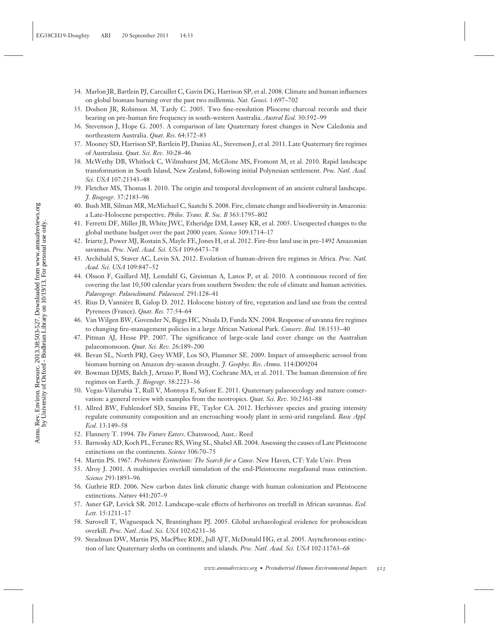- 34. Marlon JR, Bartlein PJ, Carcaillet C, Gavin DG, Harrison SP, et al. 2008. Climate and human influences on global biomass burning over the past two millennia. *Nat. Geosci.* 1:697–702
- 35. Dodson JR, Robinson M, Tardy C. 2005. Two fine-resolution Pliocene charcoal records and their bearing on pre-human fire frequency in south-western Australia. *Austral Ecol.* 30:592–99
- 36. Stevenson J, Hope G. 2005. A comparison of late Quaternary forest changes in New Caledonia and northeastern Australia. *Quat. Res.* 64:372–83
- 37. Mooney SD, Harrison SP, Bartlein PJ, Daniau AL, Stevenson J, et al. 2011. Late Quaternary fire regimes of Australasia. *Quat. Sci. Rev.* 30:28–46
- 38. McWethy DB, Whitlock C, Wilmshurst JM, McGlone MS, Fromont M, et al. 2010. Rapid landscape transformation in South Island, New Zealand, following initial Polynesian settlement. *Proc. Natl. Acad. Sci. USA* 107:21343–48
- 39. Fletcher MS, Thomas I. 2010. The origin and temporal development of an ancient cultural landscape. *J. Biogeogr.* 37:2183–96
- 40. Bush MB, Silman MR, McMichael C, Saatchi S. 2008. Fire, climate change and biodiversity in Amazonia: a Late-Holocene perspective. *Philos. Trans. R. Soc. B* 363:1795–802
- 41. Ferretti DF, Miller JB, White JWC, Etheridge DM, Lassey KR, et al. 2005. Unexpected changes to the global methane budget over the past 2000 years. *Science* 309:1714–17
- 42. Iriarte J, Power MJ, Rostain S, Mayle FE, Jones H, et al. 2012. Fire-free land use in pre-1492 Amazonian savannas. *Proc. Natl. Acad. Sci. USA* 109:6473–78
- 43. Archibald S, Staver AC, Levin SA. 2012. Evolution of human-driven fire regimes in Africa. *Proc. Natl. Acad. Sci. USA* 109:847–52
- 44. Olsson F, Gaillard MJ, Lemdahl G, Greisman A, Lanos P, et al. 2010. A continuous record of fire covering the last 10,500 calendar years from southern Sweden: the role of climate and human activities. *Palaeogeogr. Palaeoclimatol. Palaeoecol.* 291:128–41
- 45. Rius D, Vanniere B, Galop D. 2012. Holocene history of fire, vegetation and land use from the central ` Pyrenees (France). *Quat. Res.* 77:54–64
- 46. Van Wilgen BW, Govender N, Biggs HC, Ntsala D, Funda XN. 2004. Response of savanna fire regimes to changing fire-management policies in a large African National Park. *Conserv. Biol.* 18:1533–40
- 47. Pitman AJ, Hesse PP. 2007. The significance of large-scale land cover change on the Australian palaeomonsoon. *Quat. Sci. Rev.* 26:189–200
- 48. Bevan SL, North PRJ, Grey WMF, Los SO, Plummer SE. 2009. Impact of atmospheric aerosol from biomass burning on Amazon dry-season drought. *J. Geophys. Res. Atmos.* 114:D09204
- 49. Bowman DJMS, Balch J, Artaxo P, Bond WJ, Cochrane MA, et al. 2011. The human dimension of fire regimes on Earth. *J. Biogeogr.* 38:2223–36
- 50. Vegas-Vilarrubia T, Rull V, Montoya E, Safont E. 2011. Quaternary palaeoecology and nature conservation: a general review with examples from the neotropics. *Quat. Sci. Rev.* 30:2361–88
- 51. Allred BW, Fuhlendorf SD, Smeins FE, Taylor CA. 2012. Herbivore species and grazing intensity regulate community composition and an encroaching woody plant in semi-arid rangeland. *Basic Appl. Ecol.* 13:149–58
- 52. Flannery T. 1994. *The Future Eaters*. Chatswood, Aust.: Reed
- 53. Barnosky AD, Koch PL, Feranec RS, Wing SL, Shabel AB. 2004. Assessing the causes of Late Pleistocene extinctions on the continents. *Science* 306:70–75
- 54. Martin PS. 1967. *Prehistoric Extinctions: The Search for a Cause*. New Haven, CT: Yale Univ. Press
- 55. Alroy J. 2001. A multispecies overkill simulation of the end-Pleistocene megafaunal mass extinction. *Science* 293:1893–96
- 56. Guthrie RD. 2006. New carbon dates link climatic change with human colonization and Pleistocene extinctions. *Nature* 441:207–9
- 57. Asner GP, Levick SR. 2012. Landscape-scale effects of herbivores on treefall in African savannas. *Ecol. Lett.* 15:1211–17
- 58. Surovell T, Waguespack N, Brantingham PJ. 2005. Global archaeological evidence for proboscidean overkill. *Proc. Natl. Acad. Sci. USA* 102:6231–36
- 59. Steadman DW, Martin PS, MacPhee RDE, Jull AJT, McDonald HG, et al. 2005. Asynchronous extinction of late Quaternary sloths on continents and islands. *Proc. Natl. Acad. Sci. USA* 102:11763–68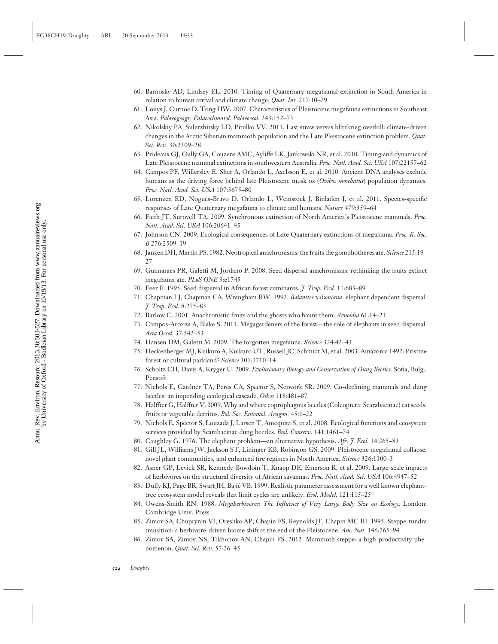- 60. Barnosky AD, Lindsey EL. 2010. Timing of Quaternary megafaunal extinction in South America in relation to human arrival and climate change. *Quat. Int.* 217:10–29
- 61. Louys J, Curnoe D, Tong HW. 2007. Characteristics of Pleistocene megafauna extinctions in Southeast Asia. *Palaeogeogr. Palaeoclimatol. Palaeoecol.* 243:152–73
- 62. Nikolskiy PA, Sulerzhitsky LD, Pitulko VV. 2011. Last straw versus blitzkrieg overkill: climate-driven changes in the Arctic Siberian mammoth population and the Late Pleistocene extinction problem. *Quat. Sci. Rev.* 30:2309–28
- 63. Prideaux GJ, Gully GA, Couzens AMC, Ayliffe LK, Jankowski NR, et al. 2010. Timing and dynamics of Late Pleistocene mammal extinctions in southwestern Australia. *Proc. Natl. Acad. Sci. USA* 107:22157–62
- 64. Campos PF, Willerslev E, Sher A, Orlando L, Axelsson E, et al. 2010. Ancient DNA analyses exclude humans as the driving force behind late Pleistocene musk ox (*Ovibos moschatus*) population dynamics. *Proc. Natl. Acad. Sci. USA* 107:5675–80
- 65. Lorenzen ED, Nogués-Bravo D, Orlando L, Weinstock J, Binladen J, et al. 2011. Species-specific responses of Late Quaternary megafauna to climate and humans. *Nature* 479:359–64
- 66. Faith JT, Surovell TA. 2009. Synchronous extinction of North America's Pleistocene mammals. *Proc. Natl. Acad. Sci. USA* 106:20641–45
- 67. Johnson CN. 2009. Ecological consequences of Late Quaternary extinctions of megafauna. *Proc. R. Soc. B* 276:2509–19
- 68. Janzen DH, Martin PS. 1982. Neotropical anachronisms: the fruits the gomphotheres ate. *Science* 215:19– 27
- 69. Guimaraes PR, Galetti M, Jordano P. 2008. Seed dispersal anachronisms: rethinking the fruits extinct megafauna ate. *PLoS ONE* 3:e1745
- 70. Feer F. 1995. Seed dispersal in African forest ruminants. *J. Trop. Ecol.* 11:683–89
- 71. Chapman LJ, Chapman CA, Wrangham RW. 1992. *Balanites wilsoniana*: elephant dependent dispersal. *J. Trop. Ecol*. 8:275–83
- 72. Barlow C. 2001. Anachronistic fruits and the ghosts who haunt them. *Arnoldia* 61:14–21
- 73. Campos-Arceiza A, Blake S. 2011. Megagardeners of the forest—the role of elephants in seed dispersal. *Acta Oecol*. 37:542–53
- 74. Hansen DM, Galetti M. 2009. The forgotten megafauna. *Science* 324:42–43
- 75. Heckenberger MJ, Kuikuro A, Kuikuro UT, Russell JC, Schmidt M, et al. 2003. Amazonia 1492: Pristine forest or cultural parkland? *Science* 301:1710–14
- 76. Scholtz CH, Davis A, Kryger U. 2009. *Evolutionary Biology and Conservation of Dung Beetles*. Sofia, Bulg.: Pensoft
- 77. Nichols E, Gardner TA, Peres CA, Spector S, Network SR. 2009. Co-declining mammals and dung beetles: an impending ecological cascade. *Oikos* 118:481–87
- 78. Halffter G, Halffter V. 2009. Why and where coprophagous beetles (Coleoptera: Scarabaeinae) eat seeds, fruits or vegetable detritus. *Bol. Soc. Entomol. Aragon.* 45:1–22
- 79. Nichols E, Spector S, Louzada J, Larsen T, Amequita S, et al. 2008. Ecological functions and ecosystem services provided by Scarabaeinae dung beetles. *Biol. Conserv.* 141:1461–74
- 80. Caughley G. 1976. The elephant problem—an alternative hypothesis. *Afr. J. Ecol.* 14:265–83
- 81. Gill JL, Williams JW, Jackson ST, Lininger KB, Robinson GS. 2009. Pleistocene megafaunal collapse, novel plant communities, and enhanced fire regimes in North America. *Science* 326:1100–3
- 82. Asner GP, Levick SR, Kennedy-Bowdoin T, Knapp DE, Emerson R, et al. 2009. Large-scale impacts of herbivores on the structural diversity of African savannas. *Proc. Natl. Acad. Sci. USA* 106:4947–52
- 83. Duffy KJ, Page BR, Swart JH, Bajic VB. 1999. Realistic parameter assessment for a well known elephant- ´ tree ecosystem model reveals that limit cycles are unlikely. *Ecol. Model.* 121:115–25
- 84. Owens-Smith RN. 1988. *Megaherbivores: The Influence of Very Large Body Size on Ecology*. London: Cambridge Univ. Press
- 85. Zimov SA, Chuprynin VI, Oreshko AP, Chapin FS, Reynolds JF, Chapin MC III. 1995. Steppe-tundra transition: a herbivore-driven biome shift at the end of the Pleistocene. *Am. Nat.* 146:765–94
- 86. Zimov SA, Zimov NS, Tikhonov AN, Chapin FS. 2012. Mammoth steppe: a high-productivity phenomenon. *Quat. Sci. Rev.* 57:26–45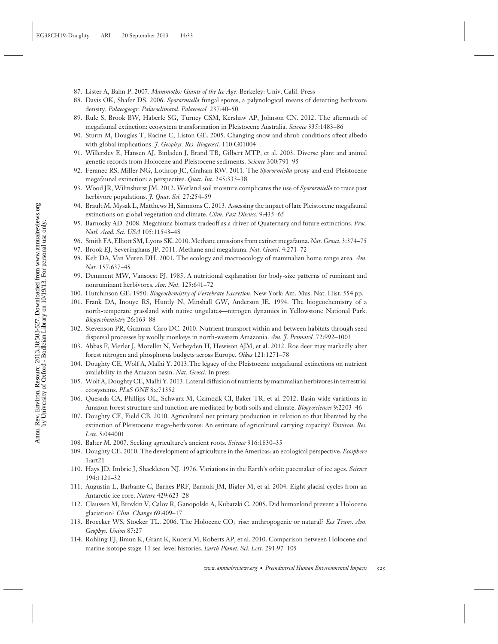- 87. Lister A, Bahn P. 2007. *Mammoths: Giants of the Ice Age*. Berkeley: Univ. Calif. Press
- 88. Davis OK, Shafer DS. 2006. *Sporormiella* fungal spores, a palynological means of detecting herbivore density. *Palaeogeogr. Palaeoclimatol. Palaeoecol.* 237:40–50
- 89. Rule S, Brook BW, Haberle SG, Turney CSM, Kershaw AP, Johnson CN. 2012. The aftermath of megafaunal extinction: ecosystem transformation in Pleistocene Australia. *Science* 335:1483–86
- 90. Sturm M, Douglas T, Racine C, Liston GE. 2005. Changing snow and shrub conditions affect albedo with global implications. *J. Geophys. Res. Biogeosci.* 110:G01004
- 91. Willerslev E, Hansen AJ, Binladen J, Brand TB, Gilbert MTP, et al. 2003. Diverse plant and animal genetic records from Holocene and Pleistocene sediments. *Science* 300:791–95
- 92. Feranec RS, Miller NG, Lothrop JC, Graham RW. 2011. The *Sporormiella* proxy and end-Pleistocene megafaunal extinction: a perspective. *Quat. Int.* 245:333–38
- 93. Wood JR, Wilmshurst JM. 2012. Wetland soil moisture complicates the use of *Sporormiella* to trace past herbivore populations. *J. Quat. Sci.* 27:254–59
- 94. Brault M, Mysak L, Matthews H, Simmons C. 2013. Assessing the impact of late Pleistocene megafaunal extinctions on global vegetation and climate. *Clim. Past Discuss.* 9:435–65
- 95. Barnosky AD. 2008. Megafauna biomass tradeoff as a driver of Quaternary and future extinctions. *Proc. Natl. Acad. Sci. USA* 105:11543–48
- 96. Smith FA, Elliott SM, Lyons SK. 2010. Methane emissions from extinct megafauna. *Nat. Geosci.* 3:374–75
- 97. Brook EJ, Severinghaus JP. 2011. Methane and megafauna. *Nat. Geosci.* 4:271–72
- 98. Kelt DA, Van Vuren DH. 2001. The ecology and macroecology of mammalian home range area. *Am. Nat.* 157:637–45
- 99. Demment MW, Vansoest PJ. 1985. A nutritional explanation for body-size patterns of ruminant and nonruminant herbivores. *Am. Nat.* 125:641–72
- 100. Hutchinson GE. 1950. *Biogeochemistry of Vertebrate Excretion*. New York: Am. Mus. Nat. Hist. 554 pp.
- 101. Frank DA, Inouye RS, Huntly N, Minshall GW, Anderson JE. 1994. The biogeochemistry of a north-temperate grassland with native ungulates—nitrogen dynamics in Yellowstone National Park. *Biogeochemistry* 26:163–88
- 102. Stevenson PR, Guzman-Caro DC. 2010. Nutrient transport within and between habitats through seed dispersal processes by woolly monkeys in north-western Amazonia. *Am. J. Primatol.* 72:992–1003
- 103. Abbas F, Merlet J, Morellet N, Verheyden H, Hewison AJM, et al. 2012. Roe deer may markedly alter forest nitrogen and phosphorus budgets across Europe. *Oikos* 121:1271–78
- 104. Doughty CE, Wolf A, Malhi Y. 2013.The legacy of the Pleistocene megafaunal extinctions on nutrient availability in the Amazon basin. *Nat. Geosci.* In press
- 105. Wolf A, Doughty CE, Malhi Y. 2013. Lateral diffusion of nutrients by mammalian herbivores in terrestrial ecosystems. *PLoS ONE* 8:e71352
- 106. Quesada CA, Phillips OL, Schwarz M, Czimczik CI, Baker TR, et al. 2012. Basin-wide variations in Amazon forest structure and function are mediated by both soils and climate. *Biogeosciences* 9:2203–46
- 107. Doughty CE, Field CB. 2010. Agricultural net primary production in relation to that liberated by the extinction of Pleistocene mega-herbivores: An estimate of agricultural carrying capacity? *Environ. Res. Lett.* 5:044001
- 108. Balter M. 2007. Seeking agriculture's ancient roots. *Science* 316:1830–35
- 109. Doughty CE. 2010. The development of agriculture in the Americas: an ecological perspective. *Ecosphere* 1:art21
- 110. Hays JD, Imbrie J, Shackleton NJ. 1976. Variations in the Earth's orbit: pacemaker of ice ages. *Science* 194:1121–32
- 111. Augustin L, Barbante C, Barnes PRF, Barnola JM, Bigler M, et al. 2004. Eight glacial cycles from an Antarctic ice core. *Nature* 429:623–28
- 112. Claussen M, Brovkin V, Calov R, Ganopolski A, Kubatzki C. 2005. Did humankind prevent a Holocene glaciation? *Clim. Change* 69:409–17
- 113. Broecker WS, Stocker TL. 2006. The Holocene CO2 rise: anthropogenic or natural? *Eos Trans. Am. Geophys. Union* 87:27
- 114. Rohling EJ, Braun K, Grant K, Kucera M, Roberts AP, et al. 2010. Comparison between Holocene and marine isotope stage-11 sea-level histories. *Earth Planet. Sci. Lett.* 291:97–105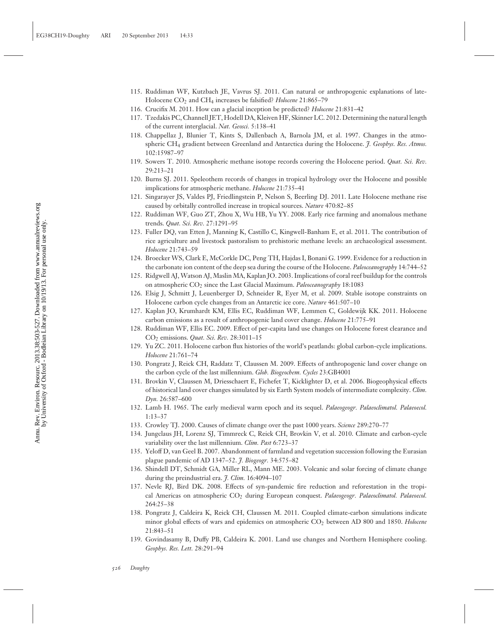- 115. Ruddiman WF, Kutzbach JE, Vavrus SJ. 2011. Can natural or anthropogenic explanations of late-Holocene CO<sub>2</sub> and CH<sub>4</sub> increases be falsified? *Holocene* 21:865-79
- 116. Crucifix M. 2011. How can a glacial inception be predicted? *Holocene* 21:831–42
- 117. Tzedakis PC, Channell JET, Hodell DA, Kleiven HF, Skinner LC. 2012. Determining the natural length of the current interglacial. *Nat. Geosci.* 5:138–41
- 118. Chappellaz J, Blunier T, Kints S, Dallenbach A, Barnola JM, et al. 1997. Changes in the atmospheric CH4 gradient between Greenland and Antarctica during the Holocene. *J. Geophys. Res. Atmos.* 102:15987–97
- 119. Sowers T. 2010. Atmospheric methane isotope records covering the Holocene period. *Quat. Sci. Rev.* 29:213–21
- 120. Burns SJ. 2011. Speleothem records of changes in tropical hydrology over the Holocene and possible implications for atmospheric methane. *Holocene* 21:735–41
- 121. Singarayer JS, Valdes PJ, Friedlingstein P, Nelson S, Beerling DJ. 2011. Late Holocene methane rise caused by orbitally controlled increase in tropical sources. *Nature* 470:82–85
- 122. Ruddiman WF, Guo ZT, Zhou X, Wu HB, Yu YY. 2008. Early rice farming and anomalous methane trends. *Quat. Sci. Rev.* 27:1291–95
- 123. Fuller DQ, van Etten J, Manning K, Castillo C, Kingwell-Banham E, et al. 2011. The contribution of rice agriculture and livestock pastoralism to prehistoric methane levels: an archaeological assessment. *Holocene* 21:743–59
- 124. Broecker WS, Clark E, McCorkle DC, Peng TH, Hajdas I, Bonani G. 1999. Evidence for a reduction in the carbonate ion content of the deep sea during the course of the Holocene. *Paleoceanography* 14:744–52
- 125. Ridgwell AJ, Watson AJ, Maslin MA, Kaplan JO. 2003. Implications of coral reef buildup for the controls on atmospheric CO<sub>2</sub> since the Last Glacial Maximum. *Paleoceanography* 18:1083
- 126. Elsig J, Schmitt J, Leuenberger D, Schneider R, Eyer M, et al. 2009. Stable isotope constraints on Holocene carbon cycle changes from an Antarctic ice core. *Nature* 461:507–10
- 127. Kaplan JO, Krumhardt KM, Ellis EC, Ruddiman WF, Lemmen C, Goldewijk KK. 2011. Holocene carbon emissions as a result of anthropogenic land cover change. *Holocene* 21:775–91
- 128. Ruddiman WF, Ellis EC. 2009. Effect of per-capita land use changes on Holocene forest clearance and CO2 emissions. *Quat. Sci. Rev.* 28:3011–15
- 129. Yu ZC. 2011. Holocene carbon flux histories of the world's peatlands: global carbon-cycle implications. *Holocene* 21:761–74
- 130. Pongratz J, Reick CH, Raddatz T, Claussen M. 2009. Effects of anthropogenic land cover change on the carbon cycle of the last millennium. *Glob. Biogeochem. Cycles* 23:GB4001
- 131. Brovkin V, Claussen M, Driesschaert E, Fichefet T, Kicklighter D, et al. 2006. Biogeophysical effects of historical land cover changes simulated by six Earth System models of intermediate complexity. *Clim. Dyn.* 26:587–600
- 132. Lamb H. 1965. The early medieval warm epoch and its sequel. *Palaeogeogr. Palaeoclimatol. Palaeoecol.* 1:13–37
- 133. Crowley TJ. 2000. Causes of climate change over the past 1000 years. *Science* 289:270–77
- 134. Jungclaus JH, Lorenz SJ, Timmreck C, Reick CH, Brovkin V, et al. 2010. Climate and carbon-cycle variability over the last millennium. *Clim. Past* 6:723–37
- 135. Yeloff D, van Geel B. 2007. Abandonment of farmland and vegetation succession following the Eurasian plague pandemic of AD 1347–52. *J. Biogeogr.* 34:575–82
- 136. Shindell DT, Schmidt GA, Miller RL, Mann ME. 2003. Volcanic and solar forcing of climate change during the preindustrial era. *J. Clim.* 16:4094–107
- 137. Nevle RJ, Bird DK. 2008. Effects of syn-pandemic fire reduction and reforestation in the tropical Americas on atmospheric CO2 during European conquest. *Palaeogeogr. Palaeoclimatol. Palaeoecol.* 264:25–38
- 138. Pongratz J, Caldeira K, Reick CH, Claussen M. 2011. Coupled climate-carbon simulations indicate minor global effects of wars and epidemics on atmospheric CO2 between AD 800 and 1850. *Holocene* 21:843–51
- 139. Govindasamy B, Duffy PB, Caldeira K. 2001. Land use changes and Northern Hemisphere cooling. *Geophys. Res. Lett.* 28:291–94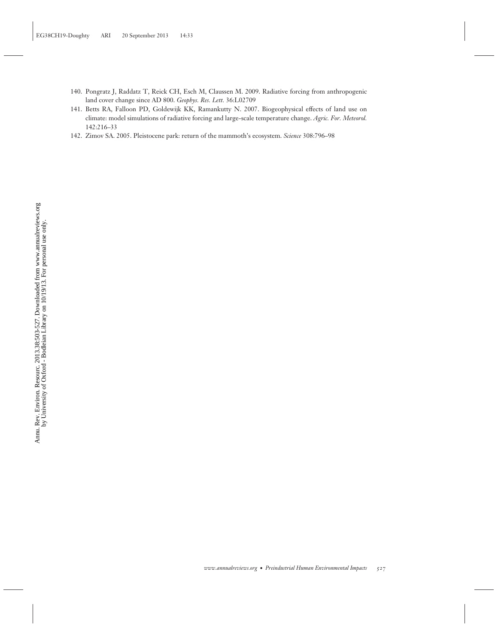- 140. Pongratz J, Raddatz T, Reick CH, Esch M, Claussen M. 2009. Radiative forcing from anthropogenic land cover change since AD 800. *Geophys. Res. Lett.* 36:L02709
- 141. Betts RA, Falloon PD, Goldewijk KK, Ramankutty N. 2007. Biogeophysical effects of land use on climate: model simulations of radiative forcing and large-scale temperature change. *Agric. For. Meteorol.* 142:216–33
- 142. Zimov SA. 2005. Pleistocene park: return of the mammoth's ecosystem. *Science* 308:796–98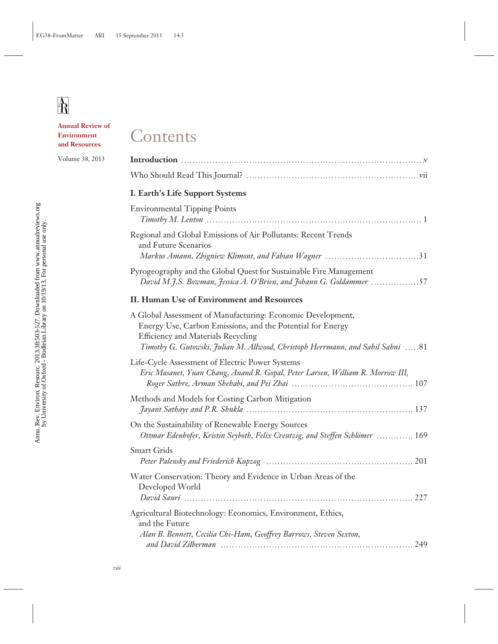**Annual Review of Environment and Resources**

Volume 38, 2013

# Contents

## **I. Earth's Life Support Systems**

| <b>Environmental Tipping Points</b><br>$Timotby M.$ Lenton $\ldots$ $\ldots$ $\ldots$ $\ldots$ $\ldots$ $\ldots$ $\ldots$                                                                                                                                |
|----------------------------------------------------------------------------------------------------------------------------------------------------------------------------------------------------------------------------------------------------------|
| Regional and Global Emissions of Air Pollutants: Recent Trends<br>and Future Scenarios                                                                                                                                                                   |
| Pyrogeography and the Global Quest for Sustainable Fire Management<br>David M.J.S. Bowman, Jessica A. O'Brien, and Johann G. Goldammer 57                                                                                                                |
| II. Human Use of Environment and Resources                                                                                                                                                                                                               |
| A Global Assessment of Manufacturing: Economic Development,<br>Energy Use, Carbon Emissions, and the Potential for Energy<br><b>Efficiency and Materials Recycling</b><br>Timothy G. Gutowski, Julian M. Allwood, Christoph Herrmann, and Sahil Sahni 81 |
| Life-Cycle Assessment of Electric Power Systems<br>Eric Masanet, Yuan Chang, Anand R. Gopal, Peter Larsen, William R. Morrow III,                                                                                                                        |
| Methods and Models for Costing Carbon Mitigation                                                                                                                                                                                                         |
| On the Sustainability of Renewable Energy Sources<br>Ottmar Edenhofer, Kristin Seyboth, Felix Creutzig, and Steffen Schlömer  169                                                                                                                        |
| <b>Smart Grids</b>                                                                                                                                                                                                                                       |
| Water Conservation: Theory and Evidence in Urban Areas of the<br>Developed World                                                                                                                                                                         |
| Agricultural Biotechnology: Economics, Environment, Ethics,<br>and the Future<br>Alan B. Bennett, Cecilia Chi-Ham, Geoffrey Barrows, Steven Sexton,                                                                                                      |
|                                                                                                                                                                                                                                                          |